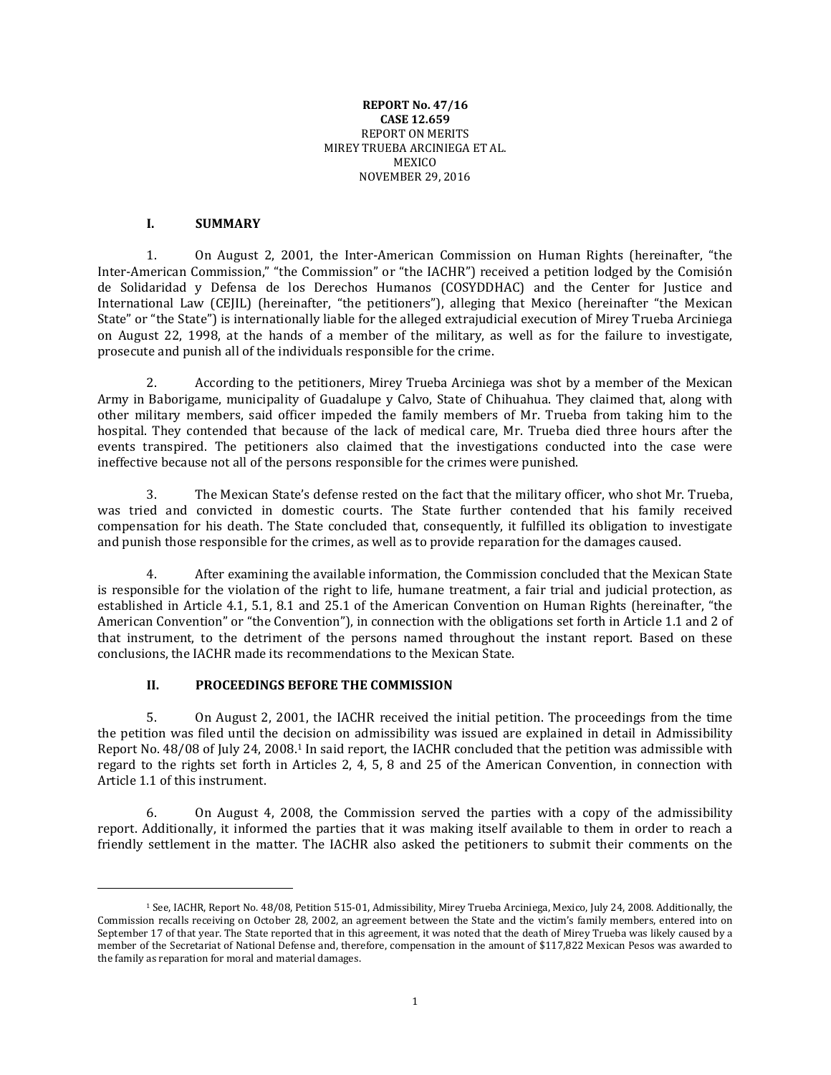#### **REPORT No. 47/16 CASE 12.659** REPORT ON MERITS MIREY TRUEBA ARCINIEGA ET AL. **MEXICO** NOVEMBER 29, 2016

# **I. SUMMARY**

 $\overline{a}$ 

1. On August 2, 2001, the Inter-American Commission on Human Rights (hereinafter, "the Inter-American Commission," "the Commission" or "the IACHR") received a petition lodged by the Comisión de Solidaridad y Defensa de los Derechos Humanos (COSYDDHAC) and the Center for Justice and International Law (CEJIL) (hereinafter, "the petitioners"), alleging that Mexico (hereinafter "the Mexican State" or "the State") is internationally liable for the alleged extrajudicial execution of Mirey Trueba Arciniega on August 22, 1998, at the hands of a member of the military, as well as for the failure to investigate, prosecute and punish all of the individuals responsible for the crime.

2. According to the petitioners, Mirey Trueba Arciniega was shot by a member of the Mexican Army in Baborigame, municipality of Guadalupe y Calvo, State of Chihuahua. They claimed that, along with other military members, said officer impeded the family members of Mr. Trueba from taking him to the hospital. They contended that because of the lack of medical care, Mr. Trueba died three hours after the events transpired. The petitioners also claimed that the investigations conducted into the case were ineffective because not all of the persons responsible for the crimes were punished.

3. The Mexican State's defense rested on the fact that the military officer, who shot Mr. Trueba, was tried and convicted in domestic courts. The State further contended that his family received compensation for his death. The State concluded that, consequently, it fulfilled its obligation to investigate and punish those responsible for the crimes, as well as to provide reparation for the damages caused.

4. After examining the available information, the Commission concluded that the Mexican State is responsible for the violation of the right to life, humane treatment, a fair trial and judicial protection, as established in Article 4.1, 5.1, 8.1 and 25.1 of the American Convention on Human Rights (hereinafter, "the American Convention" or "the Convention"), in connection with the obligations set forth in Article 1.1 and 2 of that instrument, to the detriment of the persons named throughout the instant report. Based on these conclusions, the IACHR made its recommendations to the Mexican State.

### **II. PROCEEDINGS BEFORE THE COMMISSION**

5. On August 2, 2001, the IACHR received the initial petition. The proceedings from the time the petition was filed until the decision on admissibility was issued are explained in detail in Admissibility Report No. 48/08 of July 24, 2008. <sup>1</sup> In said report, the IACHR concluded that the petition was admissible with regard to the rights set forth in Articles 2, 4, 5, 8 and 25 of the American Convention, in connection with Article 1.1 of this instrument.

6. On August 4, 2008, the Commission served the parties with a copy of the admissibility report. Additionally, it informed the parties that it was making itself available to them in order to reach a friendly settlement in the matter. The IACHR also asked the petitioners to submit their comments on the

<sup>1</sup> See, IACHR, Report No. 48/08, Petition 515-01, Admissibility, Mirey Trueba Arciniega, Mexico, July 24, 2008. Additionally, the Commission recalls receiving on October 28, 2002, an agreement between the State and the victim's family members, entered into on September 17 of that year. The State reported that in this agreement, it was noted that the death of Mirey Trueba was likely caused by a member of the Secretariat of National Defense and, therefore, compensation in the amount of \$117,822 Mexican Pesos was awarded to the family as reparation for moral and material damages.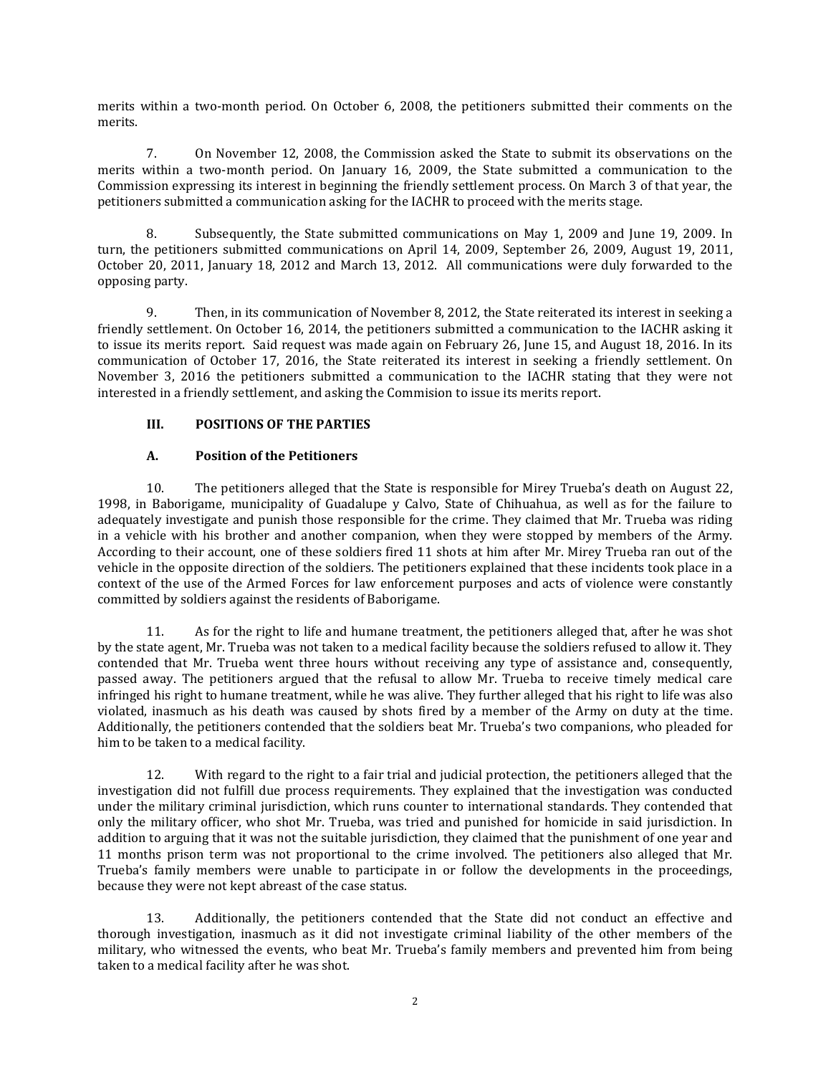merits within a two-month period. On October 6, 2008, the petitioners submitted their comments on the merits.

7. On November 12, 2008, the Commission asked the State to submit its observations on the merits within a two-month period. On January 16, 2009, the State submitted a communication to the Commission expressing its interest in beginning the friendly settlement process. On March 3 of that year, the petitioners submitted a communication asking for the IACHR to proceed with the merits stage.

8. Subsequently, the State submitted communications on May 1, 2009 and June 19, 2009. In turn, the petitioners submitted communications on April 14, 2009, September 26, 2009, August 19, 2011, October 20, 2011, January 18, 2012 and March 13, 2012. All communications were duly forwarded to the opposing party.

9. Then, in its communication of November 8, 2012, the State reiterated its interest in seeking a friendly settlement. On October 16, 2014, the petitioners submitted a communication to the IACHR asking it to issue its merits report. Said request was made again on February 26, June 15, and August 18, 2016. In its communication of October 17, 2016, the State reiterated its interest in seeking a friendly settlement. On November 3, 2016 the petitioners submitted a communication to the IACHR stating that they were not interested in a friendly settlement, and asking the Commision to issue its merits report.

# **III. POSITIONS OF THE PARTIES**

# **A. Position of the Petitioners**

10. The petitioners alleged that the State is responsible for Mirey Trueba's death on August 22, 1998, in Baborigame, municipality of Guadalupe y Calvo, State of Chihuahua, as well as for the failure to adequately investigate and punish those responsible for the crime. They claimed that Mr. Trueba was riding in a vehicle with his brother and another companion, when they were stopped by members of the Army. According to their account, one of these soldiers fired 11 shots at him after Mr. Mirey Trueba ran out of the vehicle in the opposite direction of the soldiers. The petitioners explained that these incidents took place in a context of the use of the Armed Forces for law enforcement purposes and acts of violence were constantly committed by soldiers against the residents of Baborigame.

11. As for the right to life and humane treatment, the petitioners alleged that, after he was shot by the state agent, Mr. Trueba was not taken to a medical facility because the soldiers refused to allow it. They contended that Mr. Trueba went three hours without receiving any type of assistance and, consequently, passed away. The petitioners argued that the refusal to allow Mr. Trueba to receive timely medical care infringed his right to humane treatment, while he was alive. They further alleged that his right to life was also violated, inasmuch as his death was caused by shots fired by a member of the Army on duty at the time. Additionally, the petitioners contended that the soldiers beat Mr. Trueba's two companions, who pleaded for him to be taken to a medical facility.

12. With regard to the right to a fair trial and judicial protection, the petitioners alleged that the investigation did not fulfill due process requirements. They explained that the investigation was conducted under the military criminal jurisdiction, which runs counter to international standards. They contended that only the military officer, who shot Mr. Trueba, was tried and punished for homicide in said jurisdiction. In addition to arguing that it was not the suitable jurisdiction, they claimed that the punishment of one year and 11 months prison term was not proportional to the crime involved. The petitioners also alleged that Mr. Trueba's family members were unable to participate in or follow the developments in the proceedings, because they were not kept abreast of the case status.

13. Additionally, the petitioners contended that the State did not conduct an effective and thorough investigation, inasmuch as it did not investigate criminal liability of the other members of the military, who witnessed the events, who beat Mr. Trueba's family members and prevented him from being taken to a medical facility after he was shot.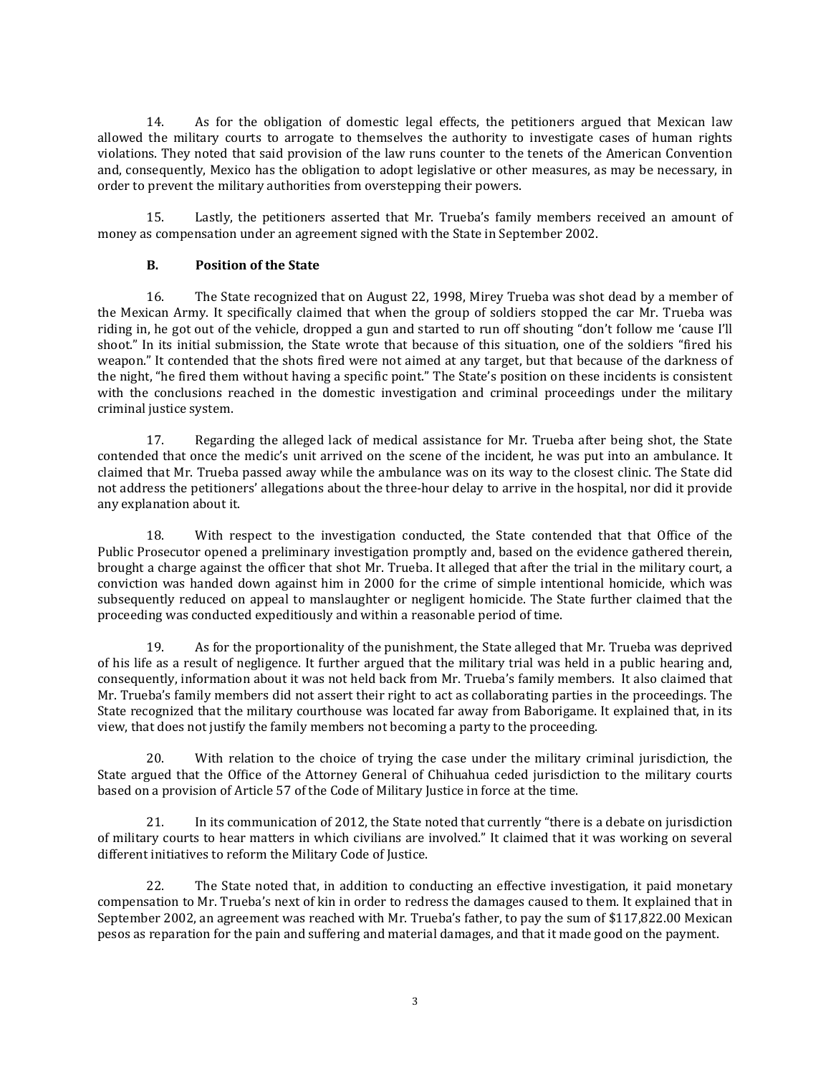14. As for the obligation of domestic legal effects, the petitioners argued that Mexican law allowed the military courts to arrogate to themselves the authority to investigate cases of human rights violations. They noted that said provision of the law runs counter to the tenets of the American Convention and, consequently, Mexico has the obligation to adopt legislative or other measures, as may be necessary, in order to prevent the military authorities from overstepping their powers.

15. Lastly, the petitioners asserted that Mr. Trueba's family members received an amount of money as compensation under an agreement signed with the State in September 2002.

# **B. Position of the State**

16. The State recognized that on August 22, 1998, Mirey Trueba was shot dead by a member of the Mexican Army. It specifically claimed that when the group of soldiers stopped the car Mr. Trueba was riding in, he got out of the vehicle, dropped a gun and started to run off shouting "don't follow me 'cause I'll shoot." In its initial submission, the State wrote that because of this situation, one of the soldiers "fired his weapon." It contended that the shots fired were not aimed at any target, but that because of the darkness of the night, "he fired them without having a specific point." The State's position on these incidents is consistent with the conclusions reached in the domestic investigation and criminal proceedings under the military criminal justice system.

17. Regarding the alleged lack of medical assistance for Mr. Trueba after being shot, the State contended that once the medic's unit arrived on the scene of the incident, he was put into an ambulance. It claimed that Mr. Trueba passed away while the ambulance was on its way to the closest clinic. The State did not address the petitioners' allegations about the three-hour delay to arrive in the hospital, nor did it provide any explanation about it.

18. With respect to the investigation conducted, the State contended that that Office of the Public Prosecutor opened a preliminary investigation promptly and, based on the evidence gathered therein, brought a charge against the officer that shot Mr. Trueba. It alleged that after the trial in the military court, a conviction was handed down against him in 2000 for the crime of simple intentional homicide, which was subsequently reduced on appeal to manslaughter or negligent homicide. The State further claimed that the proceeding was conducted expeditiously and within a reasonable period of time.

19. As for the proportionality of the punishment, the State alleged that Mr. Trueba was deprived of his life as a result of negligence. It further argued that the military trial was held in a public hearing and, consequently, information about it was not held back from Mr. Trueba's family members. It also claimed that Mr. Trueba's family members did not assert their right to act as collaborating parties in the proceedings. The State recognized that the military courthouse was located far away from Baborigame. It explained that, in its view, that does not justify the family members not becoming a party to the proceeding.

20. With relation to the choice of trying the case under the military criminal jurisdiction, the State argued that the Office of the Attorney General of Chihuahua ceded jurisdiction to the military courts based on a provision of Article 57 of the Code of Military Justice in force at the time.

21. In its communication of 2012, the State noted that currently "there is a debate on jurisdiction of military courts to hear matters in which civilians are involved." It claimed that it was working on several different initiatives to reform the Military Code of Justice.

22. The State noted that, in addition to conducting an effective investigation, it paid monetary compensation to Mr. Trueba's next of kin in order to redress the damages caused to them. It explained that in September 2002, an agreement was reached with Mr. Trueba's father, to pay the sum of \$117,822.00 Mexican pesos as reparation for the pain and suffering and material damages, and that it made good on the payment.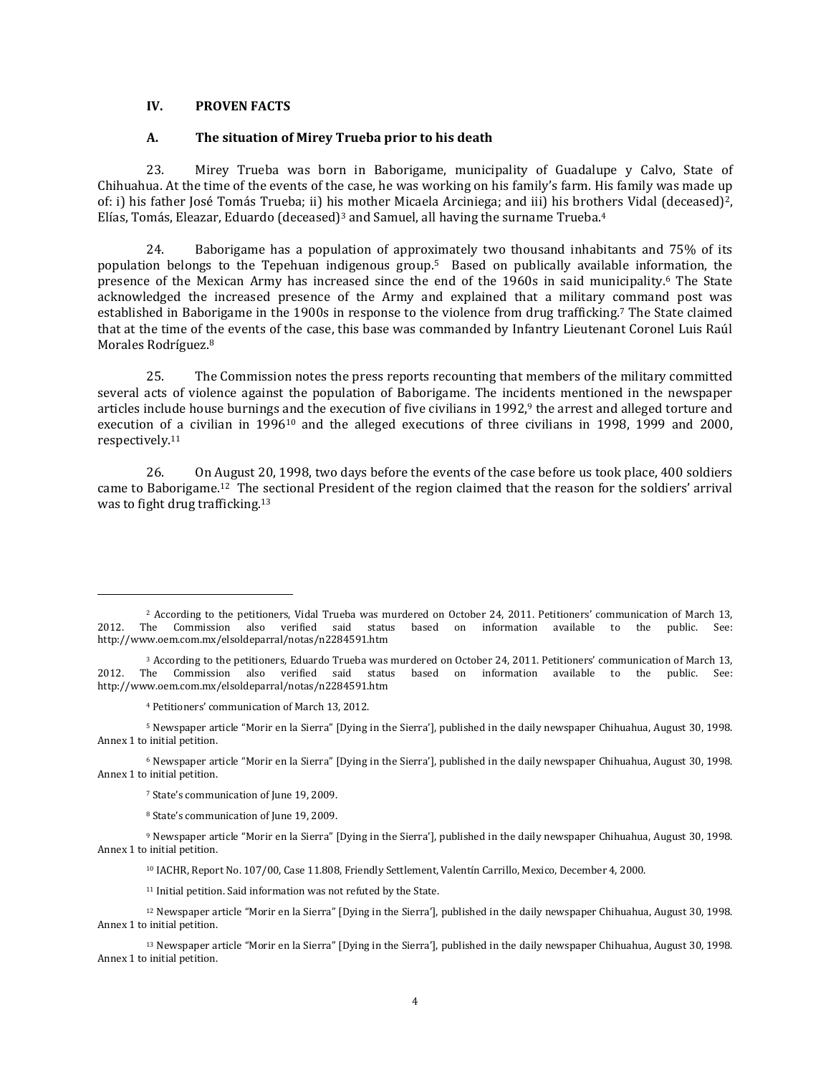### **IV. PROVEN FACTS**

#### **A. The situation of Mirey Trueba prior to his death**

23. Mirey Trueba was born in Baborigame, municipality of Guadalupe y Calvo, State of Chihuahua. At the time of the events of the case, he was working on his family's farm. His family was made up of: i) his father José Tomás Trueba; ii) his mother Micaela Arciniega; and iii) his brothers Vidal (deceased) 2, Elías, Tomás, Eleazar, Eduardo (deceased) <sup>3</sup> and Samuel, all having the surname Trueba. 4

24. Baborigame has a population of approximately two thousand inhabitants and 75% of its population belongs to the Tepehuan indigenous group. <sup>5</sup> Based on publically available information, the presence of the Mexican Army has increased since the end of the 1960s in said municipality.<sup>6</sup> The State acknowledged the increased presence of the Army and explained that a military command post was established in Baborigame in the 1900s in response to the violence from drug trafficking.<sup>7</sup> The State claimed that at the time of the events of the case, this base was commanded by Infantry Lieutenant Coronel Luis Raúl Morales Rodríguez.<sup>8</sup>

25. The Commission notes the press reports recounting that members of the military committed several acts of violence against the population of Baborigame. The incidents mentioned in the newspaper articles include house burnings and the execution of five civilians in 1992,<sup>9</sup> the arrest and alleged torture and execution of a civilian in 1996<sup>10</sup> and the alleged executions of three civilians in 1998, 1999 and 2000, respectively.<sup>11</sup>

26. On August 20, 1998, two days before the events of the case before us took place, 400 soldiers came to Baborigame. <sup>12</sup> The sectional President of the region claimed that the reason for the soldiers' arrival was to fight drug trafficking.<sup>13</sup>

 $\overline{\phantom{a}}$ 

<sup>6</sup> Newspaper article "Morir en la Sierra" [Dying in the Sierra'], published in the daily newspaper Chihuahua, August 30, 1998. Annex 1 to initial petition.

<sup>7</sup> State's communication of June 19, 2009.

<sup>8</sup> State's communication of June 19, 2009.

<sup>10</sup> IACHR, Report No. 107/00, Case 11.808, Friendly Settlement, Valentín Carrillo, Mexico, December 4, 2000.

<sup>11</sup> Initial petition. Said information was not refuted by the State.

<sup>&</sup>lt;sup>2</sup> According to the petitioners, Vidal Trueba was murdered on October 24, 2011. Petitioners' communication of March 13, <br>
The Commission also verified said status based on information available to the public. See: 2012. The Commission also verified said status based on information available to the public. See: http://www.oem.com.mx/elsoldeparral/notas/n2284591.htm

<sup>3</sup> According to the petitioners, Eduardo Trueba was murdered on October 24, 2011. Petitioners' communication of March 13, 2012. The Commission also verified said status based on information available to the public. See: http://www.oem.com.mx/elsoldeparral/notas/n2284591.htm

<sup>4</sup> Petitioners' communication of March 13, 2012.

<sup>5</sup> Newspaper article "Morir en la Sierra" [Dying in the Sierra'], published in the daily newspaper Chihuahua, August 30, 1998. Annex 1 to initial petition.

<sup>9</sup> Newspaper article "Morir en la Sierra" [Dying in the Sierra'], published in the daily newspaper Chihuahua, August 30, 1998. Annex 1 to initial petition.

<sup>12</sup> Newspaper article "Morir en la Sierra" [Dying in the Sierra'], published in the daily newspaper Chihuahua, August 30, 1998. Annex 1 to initial petition.

<sup>&</sup>lt;sup>13</sup> Newspaper article "Morir en la Sierra" [Dying in the Sierra'], published in the daily newspaper Chihuahua, August 30, 1998. Annex 1 to initial petition.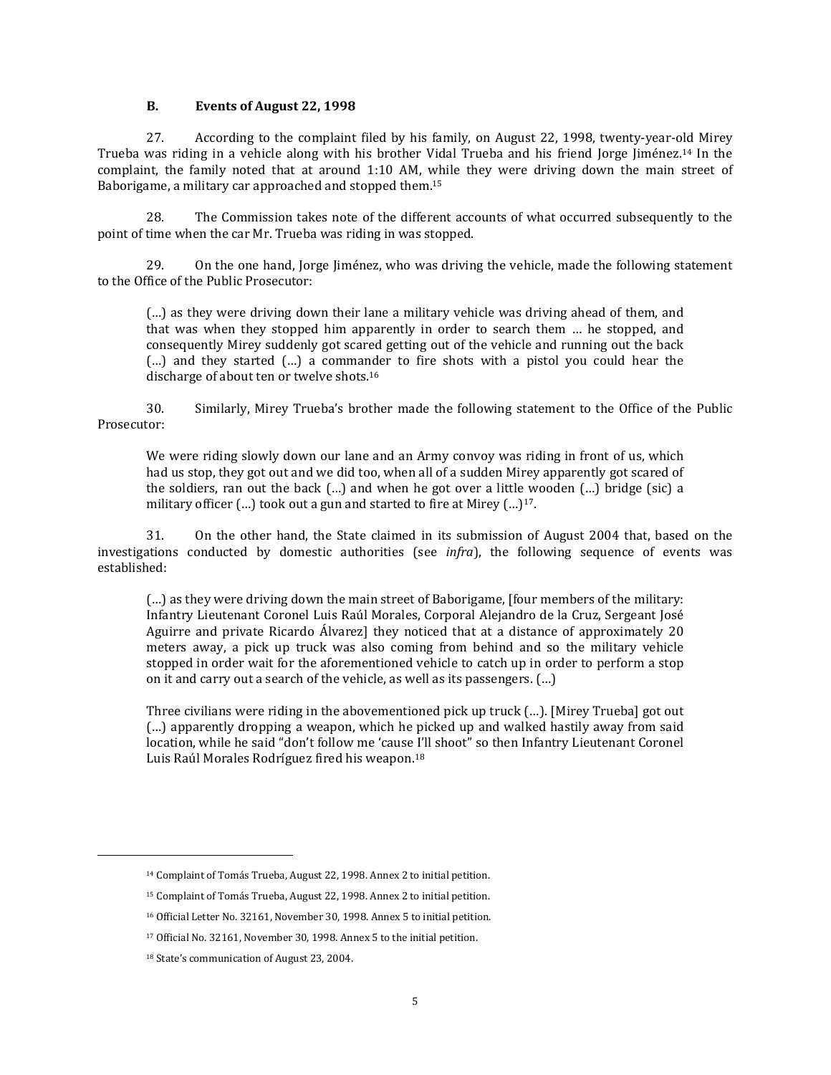#### **B. Events of August 22, 1998**

27. According to the complaint filed by his family, on August 22, 1998, twenty-year-old Mirey Trueba was riding in a vehicle along with his brother Vidal Trueba and his friend Jorge Jiménez.<sup>14</sup> In the complaint, the family noted that at around 1:10 AM, while they were driving down the main street of Baborigame, a military car approached and stopped them. 15

28. The Commission takes note of the different accounts of what occurred subsequently to the point of time when the car Mr. Trueba was riding in was stopped.

29. On the one hand, Jorge Jiménez, who was driving the vehicle, made the following statement to the Office of the Public Prosecutor:

(…) as they were driving down their lane a military vehicle was driving ahead of them, and that was when they stopped him apparently in order to search them … he stopped, and consequently Mirey suddenly got scared getting out of the vehicle and running out the back (…) and they started (…) a commander to fire shots with a pistol you could hear the discharge of about ten or twelve shots.<sup>16</sup>

30. Similarly, Mirey Trueba's brother made the following statement to the Office of the Public Prosecutor:

We were riding slowly down our lane and an Army convoy was riding in front of us, which had us stop, they got out and we did too, when all of a sudden Mirey apparently got scared of the soldiers, ran out the back (…) and when he got over a little wooden (…) bridge (sic) a military officer  $(...)$  took out a gun and started to fire at Mirey  $(...)^{17}$ .

31. On the other hand, the State claimed in its submission of August 2004 that, based on the investigations conducted by domestic authorities (see *infra*), the following sequence of events was established:

(…) as they were driving down the main street of Baborigame, [four members of the military: Infantry Lieutenant Coronel Luis Raúl Morales, Corporal Alejandro de la Cruz, Sergeant José Aguirre and private Ricardo Álvarez] they noticed that at a distance of approximately 20 meters away, a pick up truck was also coming from behind and so the military vehicle stopped in order wait for the aforementioned vehicle to catch up in order to perform a stop on it and carry out a search of the vehicle, as well as its passengers. (…)

Three civilians were riding in the abovementioned pick up truck (…). [Mirey Trueba] got out (…) apparently dropping a weapon, which he picked up and walked hastily away from said location, while he said "don't follow me 'cause I'll shoot" so then Infantry Lieutenant Coronel Luis Raúl Morales Rodríguez fired his weapon.<sup>18</sup>

 $\overline{a}$ 

<sup>14</sup> Complaint of Tomás Trueba, August 22, 1998. Annex 2 to initial petition.

<sup>15</sup> Complaint of Tomás Trueba, August 22, 1998. Annex 2 to initial petition.

<sup>16</sup> Official Letter No. 32161, November 30, 1998. Annex 5 to initial petition.

<sup>17</sup> Official No. 32161, November 30, 1998. Annex 5 to the initial petition.

<sup>18</sup> State's communication of August 23, 2004.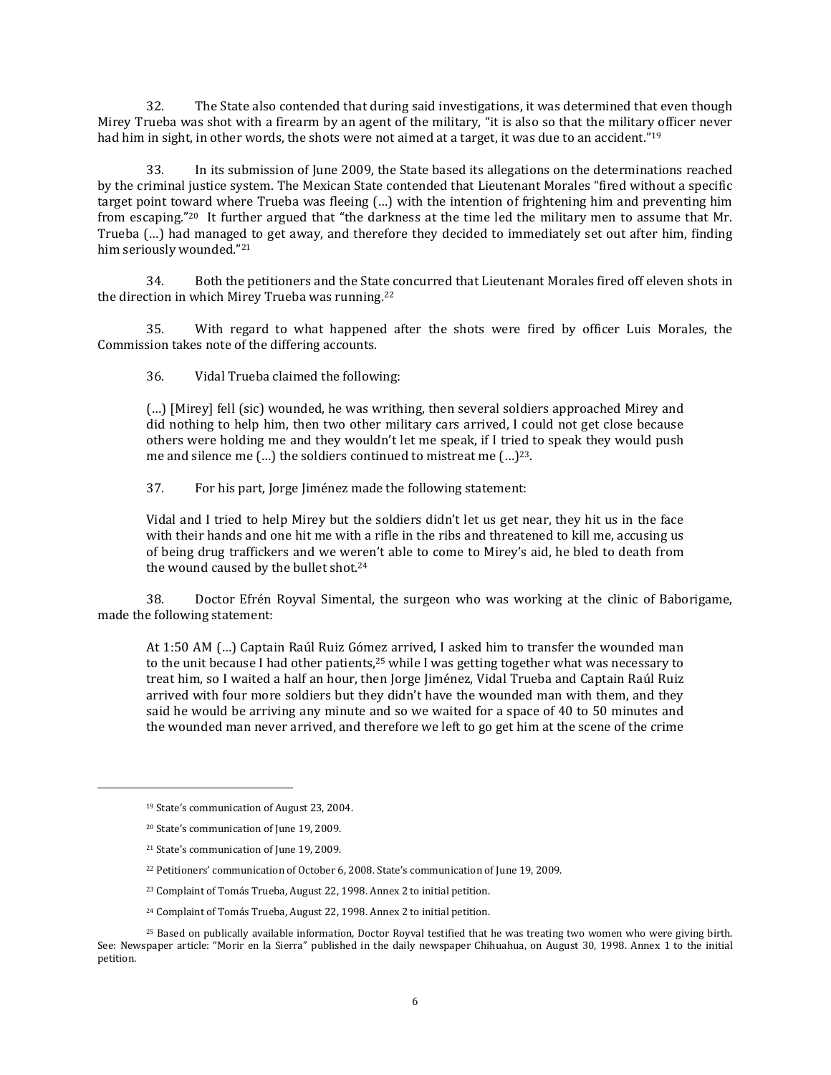32. The State also contended that during said investigations, it was determined that even though Mirey Trueba was shot with a firearm by an agent of the military, "it is also so that the military officer never had him in sight, in other words, the shots were not aimed at a target, it was due to an accident."<sup>19</sup>

33. In its submission of June 2009, the State based its allegations on the determinations reached by the criminal justice system. The Mexican State contended that Lieutenant Morales "fired without a specific target point toward where Trueba was fleeing (…) with the intention of frightening him and preventing him from escaping."<sup>20</sup> It further argued that "the darkness at the time led the military men to assume that Mr. Trueba (…) had managed to get away, and therefore they decided to immediately set out after him, finding him seriously wounded." 21

34. Both the petitioners and the State concurred that Lieutenant Morales fired off eleven shots in the direction in which Mirey Trueba was running.<sup>22</sup>

35. With regard to what happened after the shots were fired by officer Luis Morales, the Commission takes note of the differing accounts.

36. Vidal Trueba claimed the following:

(…) [Mirey] fell (sic) wounded, he was writhing, then several soldiers approached Mirey and did nothing to help him, then two other military cars arrived, I could not get close because others were holding me and they wouldn't let me speak, if I tried to speak they would push me and silence me (…) the soldiers continued to mistreat me (…)23.

37. For his part, Jorge Jiménez made the following statement:

Vidal and I tried to help Mirey but the soldiers didn't let us get near, they hit us in the face with their hands and one hit me with a rifle in the ribs and threatened to kill me, accusing us of being drug traffickers and we weren't able to come to Mirey's aid, he bled to death from the wound caused by the bullet shot.<sup>24</sup>

38. Doctor Efrén Royval Simental, the surgeon who was working at the clinic of Baborigame, made the following statement:

At 1:50 AM (…) Captain Raúl Ruiz Gómez arrived, I asked him to transfer the wounded man to the unit because I had other patients, $25$  while I was getting together what was necessary to treat him, so I waited a half an hour, then Jorge Jiménez, Vidal Trueba and Captain Raúl Ruiz arrived with four more soldiers but they didn't have the wounded man with them, and they said he would be arriving any minute and so we waited for a space of 40 to 50 minutes and the wounded man never arrived, and therefore we left to go get him at the scene of the crime

 $\overline{\phantom{a}}$ 

<sup>24</sup> Complaint of Tomás Trueba, August 22, 1998. Annex 2 to initial petition.

<sup>19</sup> State's communication of August 23, 2004.

<sup>20</sup> State's communication of June 19, 2009.

<sup>21</sup> State's communication of June 19, 2009.

<sup>22</sup> Petitioners' communication of October 6, 2008. State's communication of June 19, 2009.

<sup>23</sup> Complaint of Tomás Trueba, August 22, 1998. Annex 2 to initial petition.

<sup>25</sup> Based on publically available information, Doctor Royval testified that he was treating two women who were giving birth. See: Newspaper article: "Morir en la Sierra" published in the daily newspaper Chihuahua, on August 30, 1998. Annex 1 to the initial petition.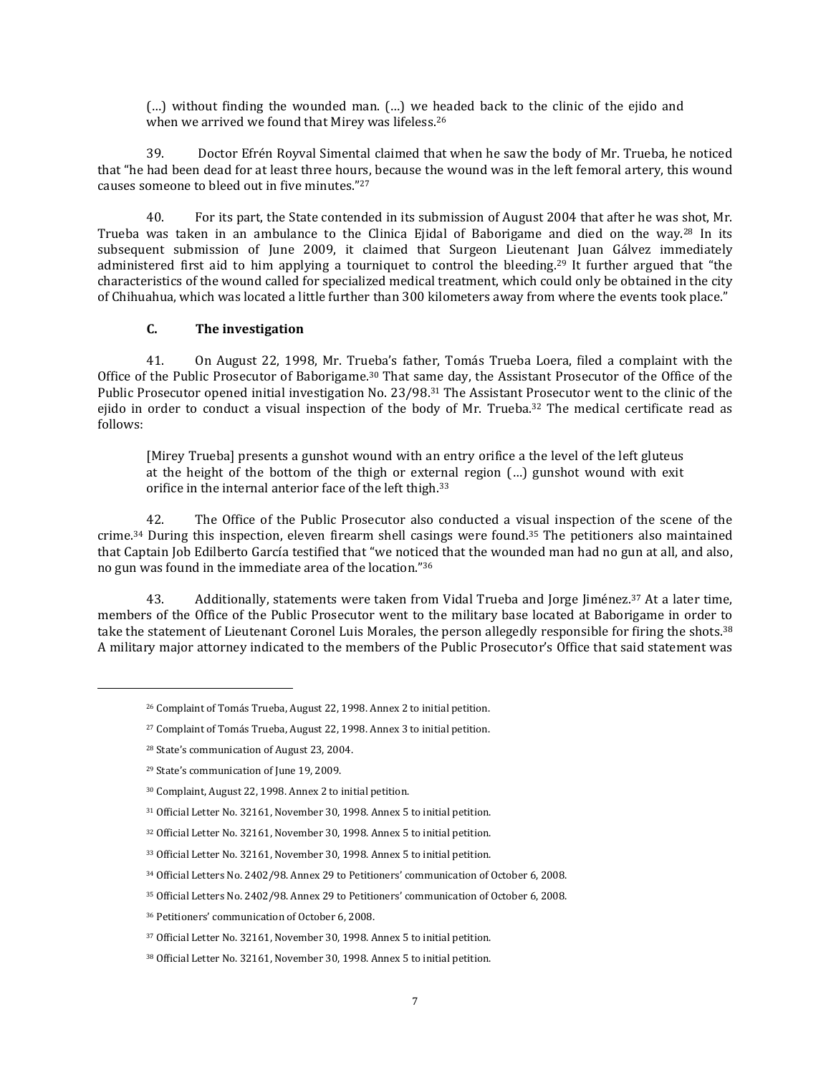(…) without finding the wounded man. (…) we headed back to the clinic of the ejido and when we arrived we found that Mirey was lifeless.<sup>26</sup>

39. Doctor Efrén Royval Simental claimed that when he saw the body of Mr. Trueba, he noticed that "he had been dead for at least three hours, because the wound was in the left femoral artery, this wound causes someone to bleed out in five minutes." 27

40. For its part, the State contended in its submission of August 2004 that after he was shot, Mr. Trueba was taken in an ambulance to the Clinica Ejidal of Baborigame and died on the way.<sup>28</sup> In its subsequent submission of June 2009, it claimed that Surgeon Lieutenant Juan Gálvez immediately administered first aid to him applying a tourniquet to control the bleeding.<sup>29</sup> It further argued that "the characteristics of the wound called for specialized medical treatment, which could only be obtained in the city of Chihuahua, which was located a little further than 300 kilometers away from where the events took place."

# **C. The investigation**

41. On August 22, 1998, Mr. Trueba's father, Tomás Trueba Loera, filed a complaint with the Office of the Public Prosecutor of Baborigame.<sup>30</sup> That same day, the Assistant Prosecutor of the Office of the Public Prosecutor opened initial investigation No. 23/98.<sup>31</sup> The Assistant Prosecutor went to the clinic of the ejido in order to conduct a visual inspection of the body of Mr. Trueba.<sup>32</sup> The medical certificate read as follows:

[Mirey Trueba] presents a gunshot wound with an entry orifice a the level of the left gluteus at the height of the bottom of the thigh or external region (…) gunshot wound with exit orifice in the internal anterior face of the left thigh.<sup>33</sup>

42. The Office of the Public Prosecutor also conducted a visual inspection of the scene of the crime.<sup>34</sup> During this inspection, eleven firearm shell casings were found.<sup>35</sup> The petitioners also maintained that Captain Job Edilberto García testified that "we noticed that the wounded man had no gun at all, and also, no gun was found in the immediate area of the location." 36

43. Additionally, statements were taken from Vidal Trueba and Jorge Jiménez.<sup>37</sup> At a later time, members of the Office of the Public Prosecutor went to the military base located at Baborigame in order to take the statement of Lieutenant Coronel Luis Morales, the person allegedly responsible for firing the shots.<sup>38</sup> A military major attorney indicated to the members of the Public Prosecutor's Office that said statement was

- <sup>33</sup> Official Letter No. 32161, November 30, 1998. Annex 5 to initial petition.
- <sup>34</sup> Official Letters No. 2402/98. Annex 29 to Petitioners' communication of October 6, 2008.
- <sup>35</sup> Official Letters No. 2402/98. Annex 29 to Petitioners' communication of October 6, 2008.

<sup>26</sup> Complaint of Tomás Trueba, August 22, 1998. Annex 2 to initial petition.

<sup>27</sup> Complaint of Tomás Trueba, August 22, 1998. Annex 3 to initial petition.

<sup>28</sup> State's communication of August 23, 2004.

<sup>29</sup> State's communication of June 19, 2009.

<sup>30</sup> Complaint, August 22, 1998. Annex 2 to initial petition.

<sup>31</sup> Official Letter No. 32161, November 30, 1998. Annex 5 to initial petition.

<sup>32</sup> Official Letter No. 32161, November 30, 1998. Annex 5 to initial petition.

<sup>36</sup> Petitioners' communication of October 6, 2008.

<sup>37</sup> Official Letter No. 32161, November 30, 1998. Annex 5 to initial petition.

<sup>38</sup> Official Letter No. 32161, November 30, 1998. Annex 5 to initial petition.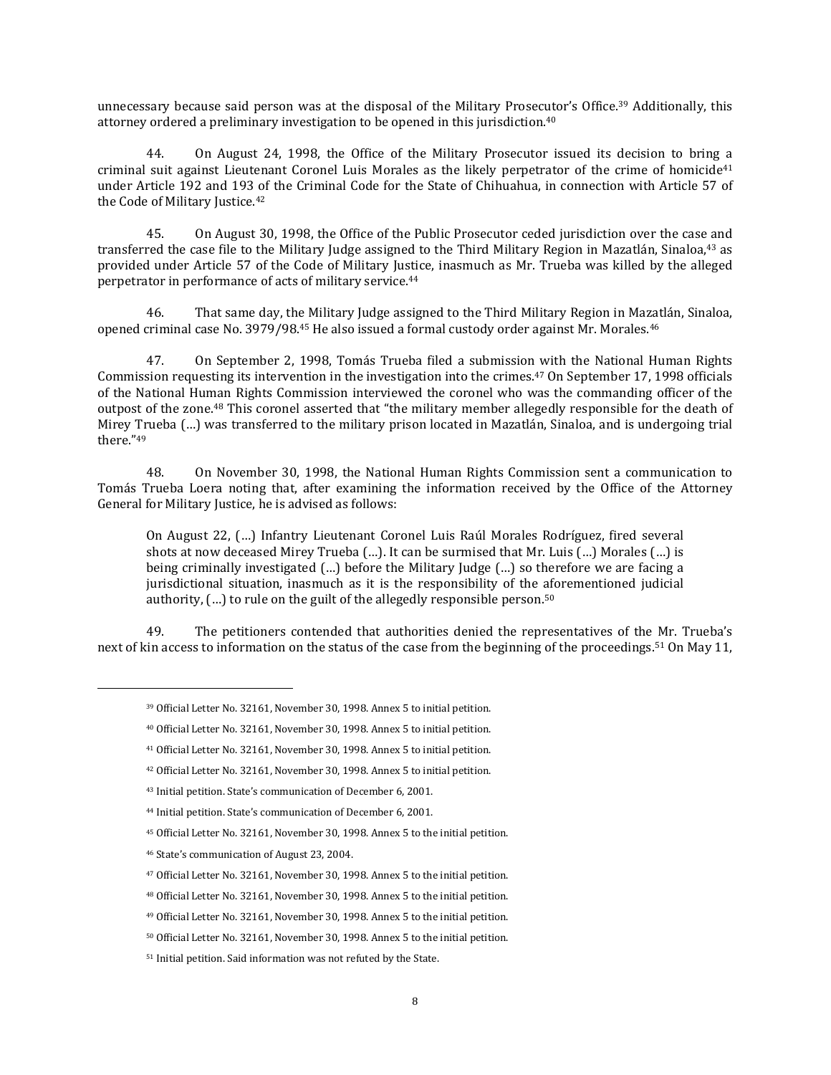unnecessary because said person was at the disposal of the Military Prosecutor's Office.<sup>39</sup> Additionally, this attorney ordered a preliminary investigation to be opened in this jurisdiction.<sup>40</sup>

44. On August 24, 1998, the Office of the Military Prosecutor issued its decision to bring a criminal suit against Lieutenant Coronel Luis Morales as the likely perpetrator of the crime of homicide<sup>41</sup> under Article 192 and 193 of the Criminal Code for the State of Chihuahua, in connection with Article 57 of the Code of Military Justice.<sup>42</sup>

45. On August 30, 1998, the Office of the Public Prosecutor ceded jurisdiction over the case and transferred the case file to the Military Judge assigned to the Third Military Region in Mazatlán, Sinaloa,<sup>43</sup> as provided under Article 57 of the Code of Military Justice, inasmuch as Mr. Trueba was killed by the alleged perpetrator in performance of acts of military service.<sup>44</sup>

46. That same day, the Military Judge assigned to the Third Military Region in Mazatlán, Sinaloa, opened criminal case No. 3979/98.45 He also issued a formal custody order against Mr. Morales.46

47. On September 2, 1998, Tomás Trueba filed a submission with the National Human Rights Commission requesting its intervention in the investigation into the crimes.<sup>47</sup> On September 17, 1998 officials of the National Human Rights Commission interviewed the coronel who was the commanding officer of the outpost of the zone.<sup>48</sup> This coronel asserted that "the military member allegedly responsible for the death of Mirey Trueba (…) was transferred to the military prison located in Mazatlán, Sinaloa, and is undergoing trial there." 49

48. On November 30, 1998, the National Human Rights Commission sent a communication to Tomás Trueba Loera noting that, after examining the information received by the Office of the Attorney General for Military Justice, he is advised as follows:

On August 22, (…) Infantry Lieutenant Coronel Luis Raúl Morales Rodríguez, fired several shots at now deceased Mirey Trueba (…). It can be surmised that Mr. Luis (…) Morales (…) is being criminally investigated (…) before the Military Judge (…) so therefore we are facing a jurisdictional situation, inasmuch as it is the responsibility of the aforementioned judicial authority,  $(...)$  to rule on the guilt of the allegedly responsible person.<sup>50</sup>

49. The petitioners contended that authorities denied the representatives of the Mr. Trueba's next of kin access to information on the status of the case from the beginning of the proceedings.<sup>51</sup> On May 11,

<sup>39</sup> Official Letter No. 32161, November 30, 1998. Annex 5 to initial petition.

<sup>40</sup> Official Letter No. 32161, November 30, 1998. Annex 5 to initial petition.

<sup>41</sup> Official Letter No. 32161, November 30, 1998. Annex 5 to initial petition.

<sup>42</sup> Official Letter No. 32161, November 30, 1998. Annex 5 to initial petition.

<sup>43</sup> Initial petition. State's communication of December 6, 2001.

<sup>44</sup> Initial petition. State's communication of December 6, 2001.

<sup>45</sup> Official Letter No. 32161, November 30, 1998. Annex 5 to the initial petition.

<sup>46</sup> State's communication of August 23, 2004.

<sup>47</sup> Official Letter No. 32161, November 30, 1998. Annex 5 to the initial petition.

<sup>48</sup> Official Letter No. 32161, November 30, 1998. Annex 5 to the initial petition.

<sup>49</sup> Official Letter No. 32161, November 30, 1998. Annex 5 to the initial petition.

<sup>50</sup> Official Letter No. 32161, November 30, 1998. Annex 5 to the initial petition.

<sup>51</sup> Initial petition. Said information was not refuted by the State.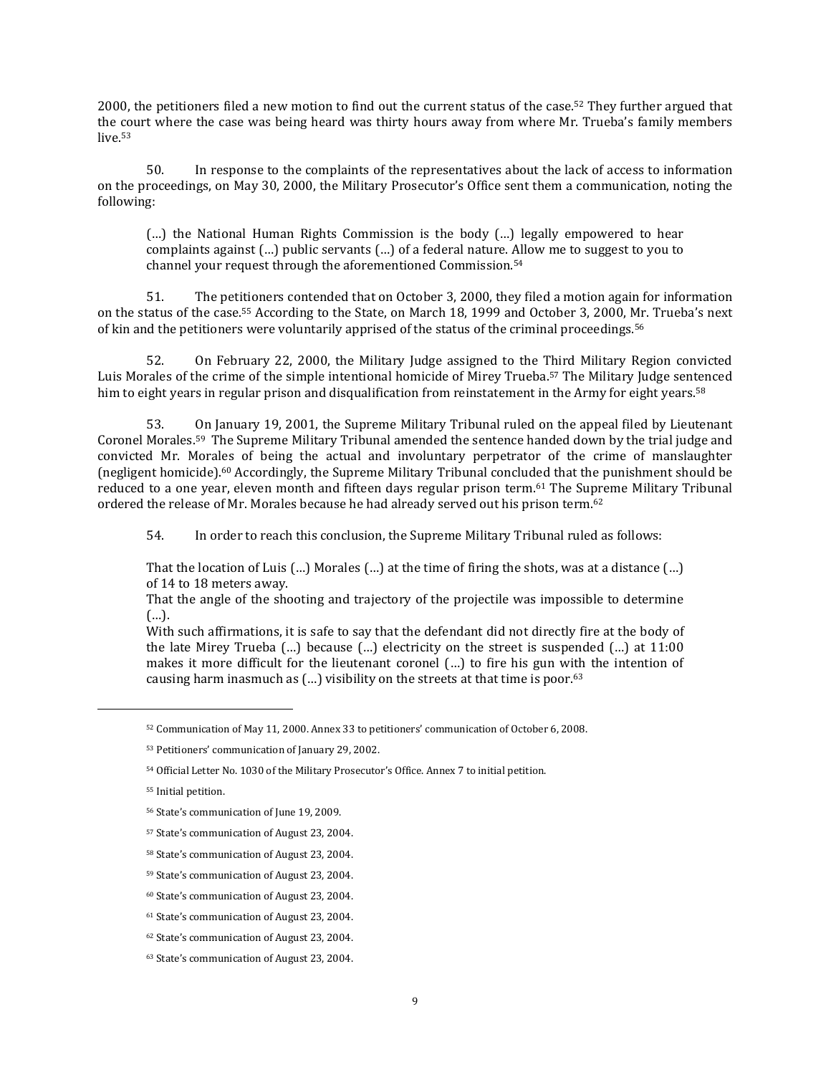2000, the petitioners filed a new motion to find out the current status of the case.<sup>52</sup> They further argued that the court where the case was being heard was thirty hours away from where Mr. Trueba's family members live.<sup>53</sup>

50. In response to the complaints of the representatives about the lack of access to information on the proceedings, on May 30, 2000, the Military Prosecutor's Office sent them a communication, noting the following:

(…) the National Human Rights Commission is the body (…) legally empowered to hear complaints against (…) public servants (…) of a federal nature. Allow me to suggest to you to channel your request through the aforementioned Commission.<sup>54</sup>

51. The petitioners contended that on October 3, 2000, they filed a motion again for information on the status of the case.<sup>55</sup> According to the State, on March 18, 1999 and October 3, 2000, Mr. Trueba's next of kin and the petitioners were voluntarily apprised of the status of the criminal proceedings.<sup>56</sup>

52. On February 22, 2000, the Military Judge assigned to the Third Military Region convicted Luis Morales of the crime of the simple intentional homicide of Mirey Trueba. <sup>57</sup> The Military Judge sentenced him to eight years in regular prison and disqualification from reinstatement in the Army for eight years.<sup>58</sup>

53. On January 19, 2001, the Supreme Military Tribunal ruled on the appeal filed by Lieutenant Coronel Morales.<sup>59</sup> The Supreme Military Tribunal amended the sentence handed down by the trial judge and convicted Mr. Morales of being the actual and involuntary perpetrator of the crime of manslaughter (negligent homicide).<sup>60</sup> Accordingly, the Supreme Military Tribunal concluded that the punishment should be reduced to a one year, eleven month and fifteen days regular prison term.<sup>61</sup> The Supreme Military Tribunal ordered the release of Mr. Morales because he had already served out his prison term.<sup>62</sup>

54. In order to reach this conclusion, the Supreme Military Tribunal ruled as follows:

That the location of Luis (…) Morales (…) at the time of firing the shots, was at a distance (…) of 14 to 18 meters away.

That the angle of the shooting and trajectory of the projectile was impossible to determine (…).

With such affirmations, it is safe to say that the defendant did not directly fire at the body of the late Mirey Trueba  $(...)$  because  $(...)$  electricity on the street is suspended  $(...)$  at 11:00 makes it more difficult for the lieutenant coronel (…) to fire his gun with the intention of causing harm inasmuch as  $(...)$  visibility on the streets at that time is poor.<sup>63</sup>

<sup>52</sup> Communication of May 11, 2000. Annex 33 to petitioners' communication of October 6, 2008.

<sup>53</sup> Petitioners' communication of January 29, 2002.

<sup>54</sup> Official Letter No. 1030 of the Military Prosecutor's Office. Annex 7 to initial petition.

<sup>55</sup> Initial petition.

<sup>56</sup> State's communication of June 19, 2009.

<sup>57</sup> State's communication of August 23, 2004.

<sup>58</sup> State's communication of August 23, 2004.

<sup>59</sup> State's communication of August 23, 2004.

<sup>60</sup> State's communication of August 23, 2004.

<sup>61</sup> State's communication of August 23, 2004.

<sup>62</sup> State's communication of August 23, 2004.

<sup>63</sup> State's communication of August 23, 2004.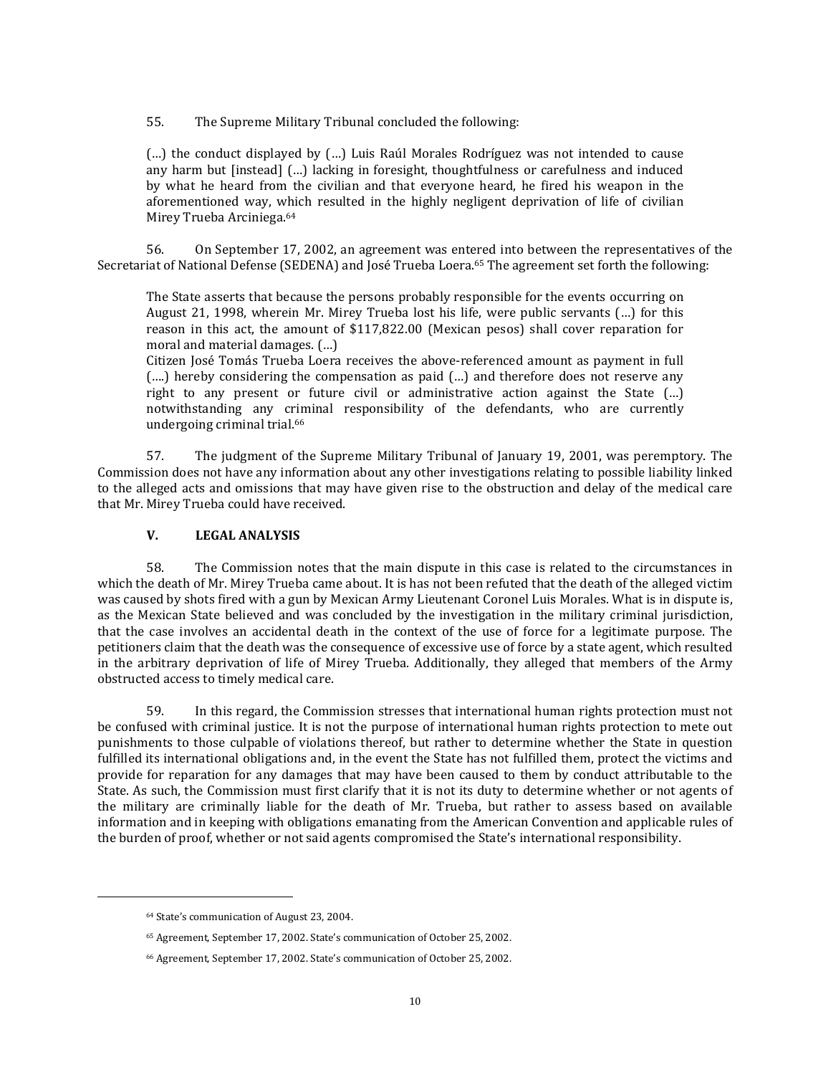55. The Supreme Military Tribunal concluded the following:

(…) the conduct displayed by (…) Luis Raúl Morales Rodríguez was not intended to cause any harm but [instead] (…) lacking in foresight, thoughtfulness or carefulness and induced by what he heard from the civilian and that everyone heard, he fired his weapon in the aforementioned way, which resulted in the highly negligent deprivation of life of civilian Mirey Trueba Arciniega. 64

56. On September 17, 2002, an agreement was entered into between the representatives of the Secretariat of National Defense (SEDENA) and José Trueba Loera. <sup>65</sup> The agreement set forth the following:

The State asserts that because the persons probably responsible for the events occurring on August 21, 1998, wherein Mr. Mirey Trueba lost his life, were public servants (…) for this reason in this act, the amount of \$117,822.00 (Mexican pesos) shall cover reparation for moral and material damages. (…)

Citizen José Tomás Trueba Loera receives the above-referenced amount as payment in full (….) hereby considering the compensation as paid (…) and therefore does not reserve any right to any present or future civil or administrative action against the State (…) notwithstanding any criminal responsibility of the defendants, who are currently undergoing criminal trial. 66

57. The judgment of the Supreme Military Tribunal of January 19, 2001, was peremptory. The Commission does not have any information about any other investigations relating to possible liability linked to the alleged acts and omissions that may have given rise to the obstruction and delay of the medical care that Mr. Mirey Trueba could have received.

### **V. LEGAL ANALYSIS**

58. The Commission notes that the main dispute in this case is related to the circumstances in which the death of Mr. Mirey Trueba came about. It is has not been refuted that the death of the alleged victim was caused by shots fired with a gun by Mexican Army Lieutenant Coronel Luis Morales. What is in dispute is, as the Mexican State believed and was concluded by the investigation in the military criminal jurisdiction, that the case involves an accidental death in the context of the use of force for a legitimate purpose. The petitioners claim that the death was the consequence of excessive use of force by a state agent, which resulted in the arbitrary deprivation of life of Mirey Trueba. Additionally, they alleged that members of the Army obstructed access to timely medical care.

59. In this regard, the Commission stresses that international human rights protection must not be confused with criminal justice. It is not the purpose of international human rights protection to mete out punishments to those culpable of violations thereof, but rather to determine whether the State in question fulfilled its international obligations and, in the event the State has not fulfilled them, protect the victims and provide for reparation for any damages that may have been caused to them by conduct attributable to the State. As such, the Commission must first clarify that it is not its duty to determine whether or not agents of the military are criminally liable for the death of Mr. Trueba, but rather to assess based on available information and in keeping with obligations emanating from the American Convention and applicable rules of the burden of proof, whether or not said agents compromised the State's international responsibility.

<sup>64</sup> State's communication of August 23, 2004.

<sup>65</sup> Agreement, September 17, 2002. State's communication of October 25, 2002.

<sup>66</sup> Agreement, September 17, 2002. State's communication of October 25, 2002.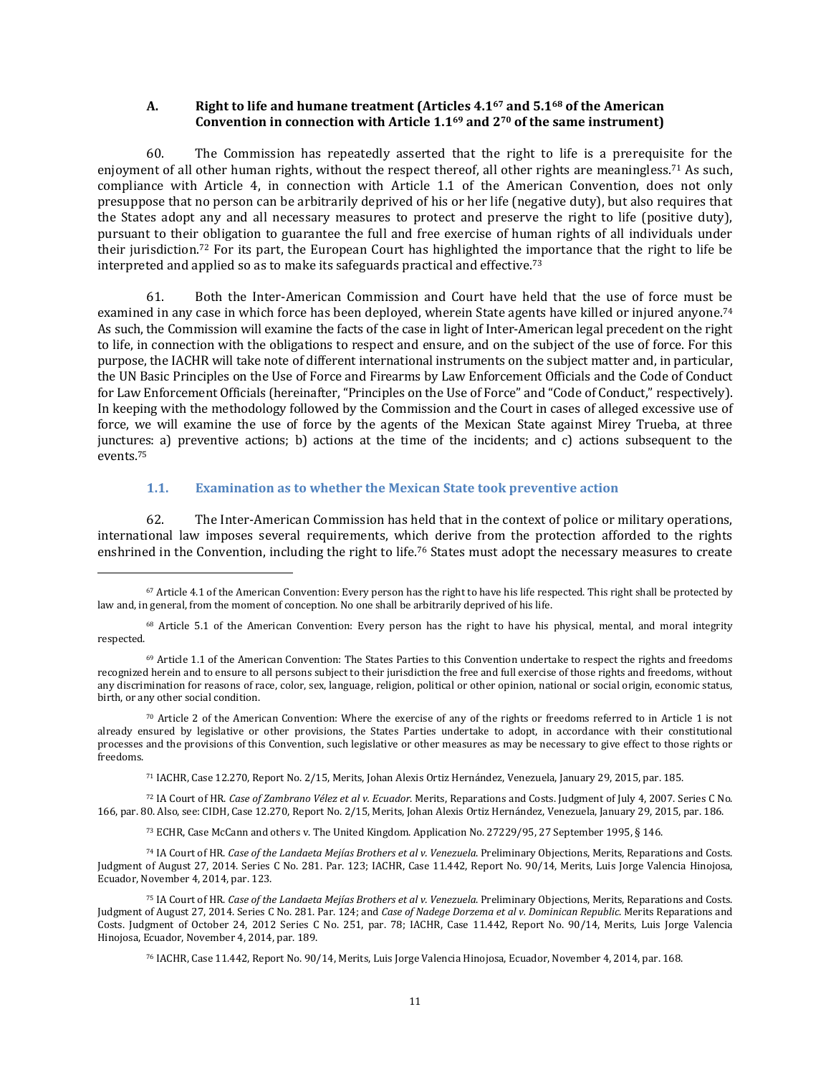### **A. Right to life and humane treatment (Articles 4.1<sup>67</sup> and 5.1<sup>68</sup> of the American Convention in connection with Article 1.1<sup>69</sup> and 2<sup>70</sup> of the same instrument)**

60. The Commission has repeatedly asserted that the right to life is a prerequisite for the enjoyment of all other human rights, without the respect thereof, all other rights are meaningless.<sup>71</sup> As such, compliance with Article 4, in connection with Article 1.1 of the American Convention, does not only presuppose that no person can be arbitrarily deprived of his or her life (negative duty), but also requires that the States adopt any and all necessary measures to protect and preserve the right to life (positive duty), pursuant to their obligation to guarantee the full and free exercise of human rights of all individuals under their jurisdiction.<sup>72</sup> For its part, the European Court has highlighted the importance that the right to life be interpreted and applied so as to make its safeguards practical and effective.<sup>73</sup>

61. Both the Inter-American Commission and Court have held that the use of force must be examined in any case in which force has been deployed, wherein State agents have killed or injured anyone.<sup>74</sup> As such, the Commission will examine the facts of the case in light of Inter-American legal precedent on the right to life, in connection with the obligations to respect and ensure, and on the subject of the use of force. For this purpose, the IACHR will take note of different international instruments on the subject matter and, in particular, the UN Basic Principles on the Use of Force and Firearms by Law Enforcement Officials and the Code of Conduct for Law Enforcement Officials (hereinafter, "Principles on the Use of Force" and "Code of Conduct," respectively). In keeping with the methodology followed by the Commission and the Court in cases of alleged excessive use of force, we will examine the use of force by the agents of the Mexican State against Mirey Trueba, at three junctures: a) preventive actions; b) actions at the time of the incidents; and c) actions subsequent to the events.<sup>75</sup>

### **1.1. Examination as to whether the Mexican State took preventive action**

 $\overline{\phantom{a}}$ 

62. The Inter-American Commission has held that in the context of police or military operations, international law imposes several requirements, which derive from the protection afforded to the rights enshrined in the Convention, including the right to life.<sup>76</sup> States must adopt the necessary measures to create

<sup>71</sup> IACHR, Case 12.270, Report No. 2/15, Merits, Johan Alexis Ortiz Hernández, Venezuela, January 29, 2015, par. 185.

<sup>72</sup> IA Court of HR. *Case of Zambrano Vélez et al v. Ecuador*. Merits, Reparations and Costs. Judgment of July 4, 2007. Series C No. 166, par. 80. Also, see: CIDH, Case 12.270, Report No. 2/15, Merits, Johan Alexis Ortiz Hernández, Venezuela, January 29, 2015, par. 186.

<sup>73</sup> ECHR, Case McCann and others v. The United Kingdom. Application No. 27229/95, 27 September 1995, § 146.

<sup>74</sup> IA Court of HR. *Case of the Landaeta Mejías Brothers et al v. Venezuela*. Preliminary Objections, Merits, Reparations and Costs. Judgment of August 27, 2014. Series C No. 281. Par. 123; IACHR, Case 11.442, Report No. 90/14, Merits, Luis Jorge Valencia Hinojosa, Ecuador, November 4, 2014, par. 123.

<sup>67</sup> Article 4.1 of the American Convention: Every person has the right to have his life respected. This right shall be protected by law and, in general, from the moment of conception. No one shall be arbitrarily deprived of his life.

<sup>&</sup>lt;sup>68</sup> Article 5.1 of the American Convention: Every person has the right to have his physical, mental, and moral integrity respected.

<sup>69</sup> Article 1.1 of the American Convention: The States Parties to this Convention undertake to respect the rights and freedoms recognized herein and to ensure to all persons subject to their jurisdiction the free and full exercise of those rights and freedoms, without any discrimination for reasons of race, color, sex, language, religion, political or other opinion, national or social origin, economic status, birth, or any other social condition.

<sup>70</sup> Article 2 of the American Convention: Where the exercise of any of the rights or freedoms referred to in Article 1 is not already ensured by legislative or other provisions, the States Parties undertake to adopt, in accordance with their constitutional processes and the provisions of this Convention, such legislative or other measures as may be necessary to give effect to those rights or freedoms.

<sup>75</sup> IA Court of HR. *Case of the Landaeta Mejías Brothers et al v. Venezuela*. Preliminary Objections, Merits, Reparations and Costs. Judgment of August 27, 2014. Series C No. 281. Par. 124; and *Case of Nadege Dorzema et al v. Dominican Republic*. Merits Reparations and Costs. Judgment of October 24, 2012 Series C No. 251, par. 78; IACHR, Case 11.442, Report No. 90/14, Merits, Luis Jorge Valencia Hinojosa, Ecuador, November 4, 2014, par. 189.

<sup>76</sup> IACHR, Case 11.442, Report No. 90/14, Merits, Luis Jorge Valencia Hinojosa, Ecuador, November 4, 2014, par. 168.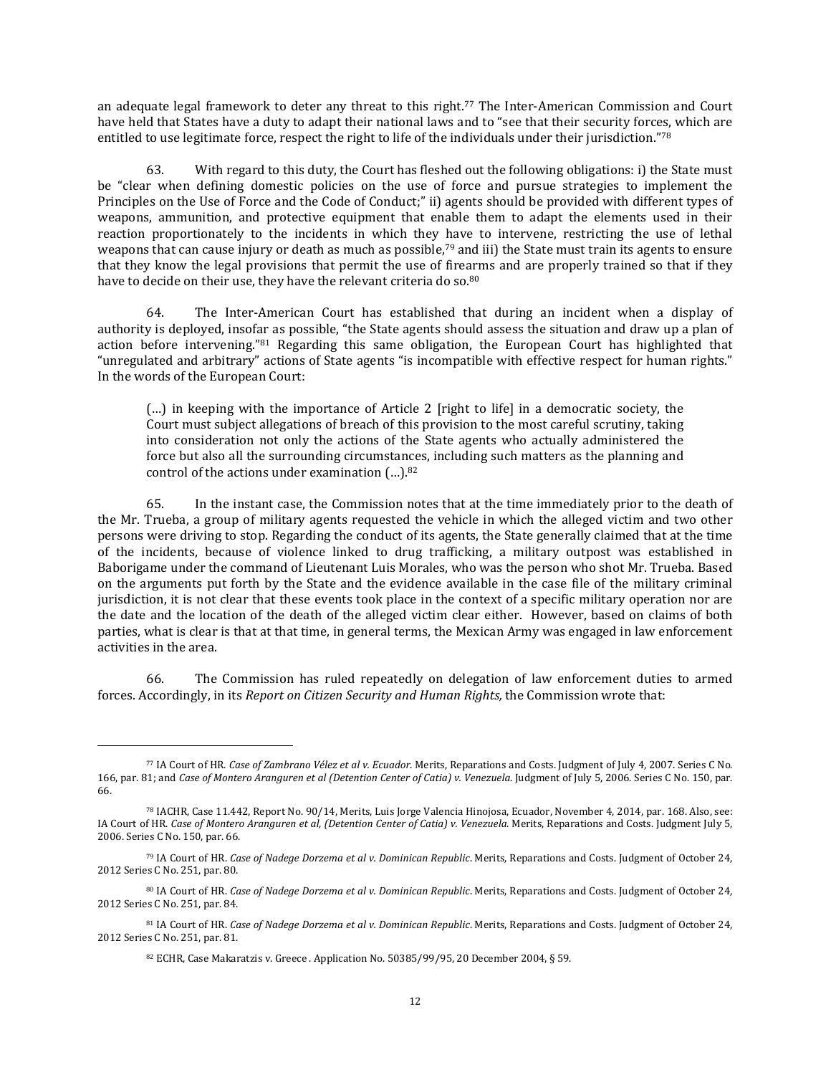an adequate legal framework to deter any threat to this right.<sup>77</sup> The Inter-American Commission and Court have held that States have a duty to adapt their national laws and to "see that their security forces, which are entitled to use legitimate force, respect the right to life of the individuals under their jurisdiction."<sup>78</sup>

63. With regard to this duty, the Court has fleshed out the following obligations: i) the State must be "clear when defining domestic policies on the use of force and pursue strategies to implement the Principles on the Use of Force and the Code of Conduct;" ii) agents should be provided with different types of weapons, ammunition, and protective equipment that enable them to adapt the elements used in their reaction proportionately to the incidents in which they have to intervene, restricting the use of lethal weapons that can cause injury or death as much as possible, $79$  and iii) the State must train its agents to ensure that they know the legal provisions that permit the use of firearms and are properly trained so that if they have to decide on their use, they have the relevant criteria do so.<sup>80</sup>

64. The Inter-American Court has established that during an incident when a display of authority is deployed, insofar as possible, "the State agents should assess the situation and draw up a plan of action before intervening."<sup>81</sup> Regarding this same obligation, the European Court has highlighted that "unregulated and arbitrary" actions of State agents "is incompatible with effective respect for human rights." In the words of the European Court:

(…) in keeping with the importance of Article 2 [right to life] in a democratic society, the Court must subject allegations of breach of this provision to the most careful scrutiny, taking into consideration not only the actions of the State agents who actually administered the force but also all the surrounding circumstances, including such matters as the planning and control of the actions under examination (…). 82

65. In the instant case, the Commission notes that at the time immediately prior to the death of the Mr. Trueba, a group of military agents requested the vehicle in which the alleged victim and two other persons were driving to stop. Regarding the conduct of its agents, the State generally claimed that at the time of the incidents, because of violence linked to drug trafficking, a military outpost was established in Baborigame under the command of Lieutenant Luis Morales, who was the person who shot Mr. Trueba. Based on the arguments put forth by the State and the evidence available in the case file of the military criminal jurisdiction, it is not clear that these events took place in the context of a specific military operation nor are the date and the location of the death of the alleged victim clear either. However, based on claims of both parties, what is clear is that at that time, in general terms, the Mexican Army was engaged in law enforcement activities in the area.

66. The Commission has ruled repeatedly on delegation of law enforcement duties to armed forces. Accordingly, in its *Report on Citizen Security and Human Rights,* the Commission wrote that:

<sup>77</sup> IA Court of HR. *Case of Zambrano Vélez et al v. Ecuador*. Merits, Reparations and Costs. Judgment of July 4, 2007. Series C No. 166, par. 81; and *Case of Montero Aranguren et al (Detention Center of Catia) v. Venezuela*. Judgment of July 5, 2006. Series C No. 150, par. 66.

<sup>78</sup> IACHR, Case 11.442, Report No. 90/14, Merits, Luis Jorge Valencia Hinojosa, Ecuador, November 4, 2014, par. 168. Also, see: IA Court of HR. *Case of Montero Aranguren et al, (Detention Center of Catia) v. Venezuela*. Merits, Reparations and Costs. Judgment July 5, 2006. Series C No. 150, par. 66.

<sup>79</sup> IA Court of HR. *Case of Nadege Dorzema et al v. Dominican Republic*. Merits, Reparations and Costs. Judgment of October 24, 2012 Series C No. 251, par. 80.

<sup>80</sup> IA Court of HR. *Case of Nadege Dorzema et al v. Dominican Republic*. Merits, Reparations and Costs. Judgment of October 24, 2012 Series C No. 251, par. 84.

<sup>81</sup> IA Court of HR. *Case of Nadege Dorzema et al v. Dominican Republic*. Merits, Reparations and Costs. Judgment of October 24, 2012 Series C No. 251, par. 81.

<sup>82</sup> ECHR, Case Makaratzis v. Greece . Application No. 50385/99/95, 20 December 2004, § 59.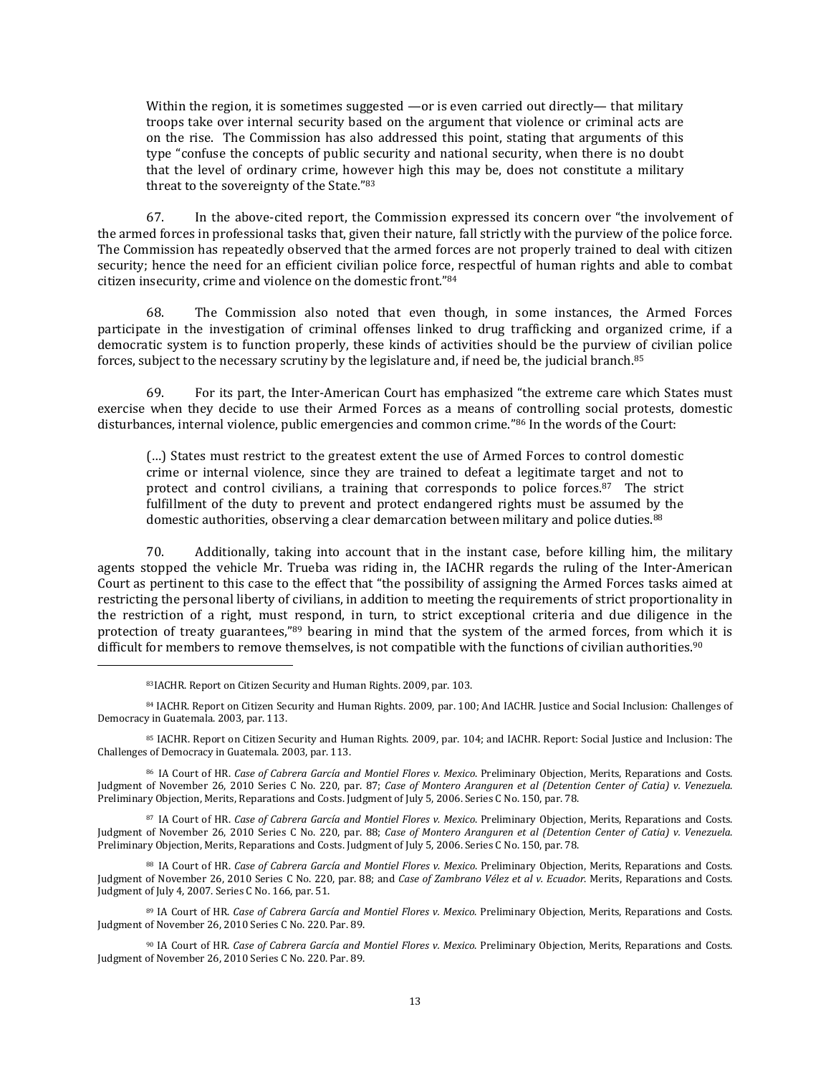Within the region, it is sometimes suggested —or is even carried out directly— that military troops take over internal security based on the argument that violence or criminal acts are on the rise. The Commission has also addressed this point, stating that arguments of this type "confuse the concepts of public security and national security, when there is no doubt that the level of ordinary crime, however high this may be, does not constitute a military threat to the sovereignty of the State."<sup>83</sup>

67. In the above-cited report, the Commission expressed its concern over "the involvement of the armed forces in professional tasks that, given their nature, fall strictly with the purview of the police force. The Commission has repeatedly observed that the armed forces are not properly trained to deal with citizen security; hence the need for an efficient civilian police force, respectful of human rights and able to combat citizen insecurity, crime and violence on the domestic front." 84

68. The Commission also noted that even though, in some instances, the Armed Forces participate in the investigation of criminal offenses linked to drug trafficking and organized crime, if a democratic system is to function properly, these kinds of activities should be the purview of civilian police forces, subject to the necessary scrutiny by the legislature and, if need be, the judicial branch.<sup>85</sup>

69. For its part, the Inter-American Court has emphasized "the extreme care which States must exercise when they decide to use their Armed Forces as a means of controlling social protests, domestic disturbances, internal violence, public emergencies and common crime." <sup>86</sup> In the words of the Court:

(…) States must restrict to the greatest extent the use of Armed Forces to control domestic crime or internal violence, since they are trained to defeat a legitimate target and not to protect and control civilians, a training that corresponds to police forces.<sup>87</sup> The strict fulfillment of the duty to prevent and protect endangered rights must be assumed by the domestic authorities, observing a clear demarcation between military and police duties.<sup>88</sup>

70. Additionally, taking into account that in the instant case, before killing him, the military agents stopped the vehicle Mr. Trueba was riding in, the IACHR regards the ruling of the Inter-American Court as pertinent to this case to the effect that "the possibility of assigning the Armed Forces tasks aimed at restricting the personal liberty of civilians, in addition to meeting the requirements of strict proportionality in the restriction of a right, must respond, in turn, to strict exceptional criteria and due diligence in the protection of treaty guarantees,"<sup>89</sup> bearing in mind that the system of the armed forces, from which it is difficult for members to remove themselves, is not compatible with the functions of civilian authorities.<sup>90</sup>

 $\overline{\phantom{a}}$ 

<sup>84</sup> IACHR. Report on Citizen Security and Human Rights. 2009, par. 100; And IACHR. Justice and Social Inclusion: Challenges of Democracy in Guatemala. 2003, par. 113.

<sup>85</sup> IACHR. Report on Citizen Security and Human Rights. 2009, par. 104; and IACHR. Report: Social Justice and Inclusion: The Challenges of Democracy in Guatemala. 2003, par. 113.

<sup>86</sup> IA Court of HR. *Case of Cabrera García and Montiel Flores v. Mexico*. Preliminary Objection, Merits, Reparations and Costs. Judgment of November 26, 2010 Series C No. 220, par. 87; *Case of Montero Aranguren et al (Detention Center of Catia) v. Venezuela*. Preliminary Objection, Merits, Reparations and Costs. Judgment of July 5, 2006. Series C No. 150, par. 78.

<sup>87</sup> IA Court of HR. *Case of Cabrera García and Montiel Flores v. Mexico*. Preliminary Objection, Merits, Reparations and Costs. Judgment of November 26, 2010 Series C No. 220, par. 88; *Case of Montero Aranguren et al (Detention Center of Catia) v. Venezuela*. Preliminary Objection, Merits, Reparations and Costs. Judgment of July 5, 2006. Series C No. 150, par. 78.

<sup>88</sup> IA Court of HR. *Case of Cabrera García and Montiel Flores v. Mexico*. Preliminary Objection, Merits, Reparations and Costs. Judgment of November 26, 2010 Series C No. 220, par. 88; and *Case of Zambrano Vélez et al v. Ecuador*. Merits, Reparations and Costs. Judgment of July 4, 2007. Series C No. 166, par. 51.

<sup>89</sup> IA Court of HR. *Case of Cabrera García and Montiel Flores v. Mexico*. Preliminary Objection, Merits, Reparations and Costs. Judgment of November 26, 2010 Series C No. 220. Par. 89.

<sup>90</sup> IA Court of HR. *Case of Cabrera García and Montiel Flores v. Mexico*. Preliminary Objection, Merits, Reparations and Costs. Judgment of November 26, 2010 Series C No. 220. Par. 89.

<sup>83</sup>IACHR. Report on Citizen Security and Human Rights. 2009, par. 103.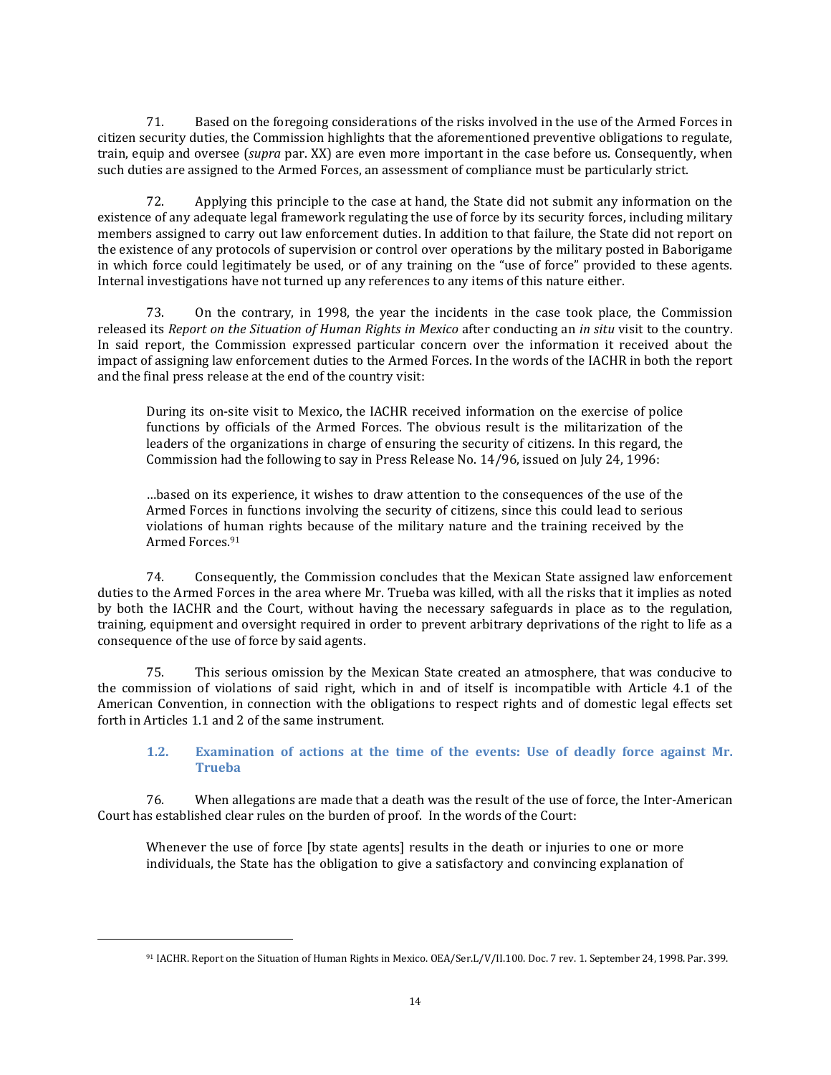71. Based on the foregoing considerations of the risks involved in the use of the Armed Forces in citizen security duties, the Commission highlights that the aforementioned preventive obligations to regulate, train, equip and oversee (*supra* par. XX) are even more important in the case before us. Consequently, when such duties are assigned to the Armed Forces, an assessment of compliance must be particularly strict.

72. Applying this principle to the case at hand, the State did not submit any information on the existence of any adequate legal framework regulating the use of force by its security forces, including military members assigned to carry out law enforcement duties. In addition to that failure, the State did not report on the existence of any protocols of supervision or control over operations by the military posted in Baborigame in which force could legitimately be used, or of any training on the "use of force" provided to these agents. Internal investigations have not turned up any references to any items of this nature either.

73. On the contrary, in 1998, the year the incidents in the case took place, the Commission released its *Report on the Situation of Human Rights in Mexico* after conducting an *in situ* visit to the country. In said report, the Commission expressed particular concern over the information it received about the impact of assigning law enforcement duties to the Armed Forces. In the words of the IACHR in both the report and the final press release at the end of the country visit:

During its on-site visit to Mexico, the IACHR received information on the exercise of police functions by officials of the Armed Forces. The obvious result is the militarization of the leaders of the organizations in charge of ensuring the security of citizens. In this regard, the Commission had the following to say in Press Release No. 14/96, issued on July 24, 1996:

…based on its experience, it wishes to draw attention to the consequences of the use of the Armed Forces in functions involving the security of citizens, since this could lead to serious violations of human rights because of the military nature and the training received by the Armed Forces.<sup>91</sup>

74. Consequently, the Commission concludes that the Mexican State assigned law enforcement duties to the Armed Forces in the area where Mr. Trueba was killed, with all the risks that it implies as noted by both the IACHR and the Court, without having the necessary safeguards in place as to the regulation, training, equipment and oversight required in order to prevent arbitrary deprivations of the right to life as a consequence of the use of force by said agents.

75. This serious omission by the Mexican State created an atmosphere, that was conducive to the commission of violations of said right, which in and of itself is incompatible with Article 4.1 of the American Convention, in connection with the obligations to respect rights and of domestic legal effects set forth in Articles 1.1 and 2 of the same instrument.

# **1.2. Examination of actions at the time of the events: Use of deadly force against Mr. Trueba**

76. When allegations are made that a death was the result of the use of force, the Inter-American Court has established clear rules on the burden of proof. In the words of the Court:

Whenever the use of force [by state agents] results in the death or injuries to one or more individuals, the State has the obligation to give a satisfactory and convincing explanation of

 $\overline{a}$ 

<sup>91</sup> IACHR. Report on the Situation of Human Rights in Mexico. OEA/Ser.L/V/II.100. Doc. 7 rev. 1. September 24, 1998. Par. 399.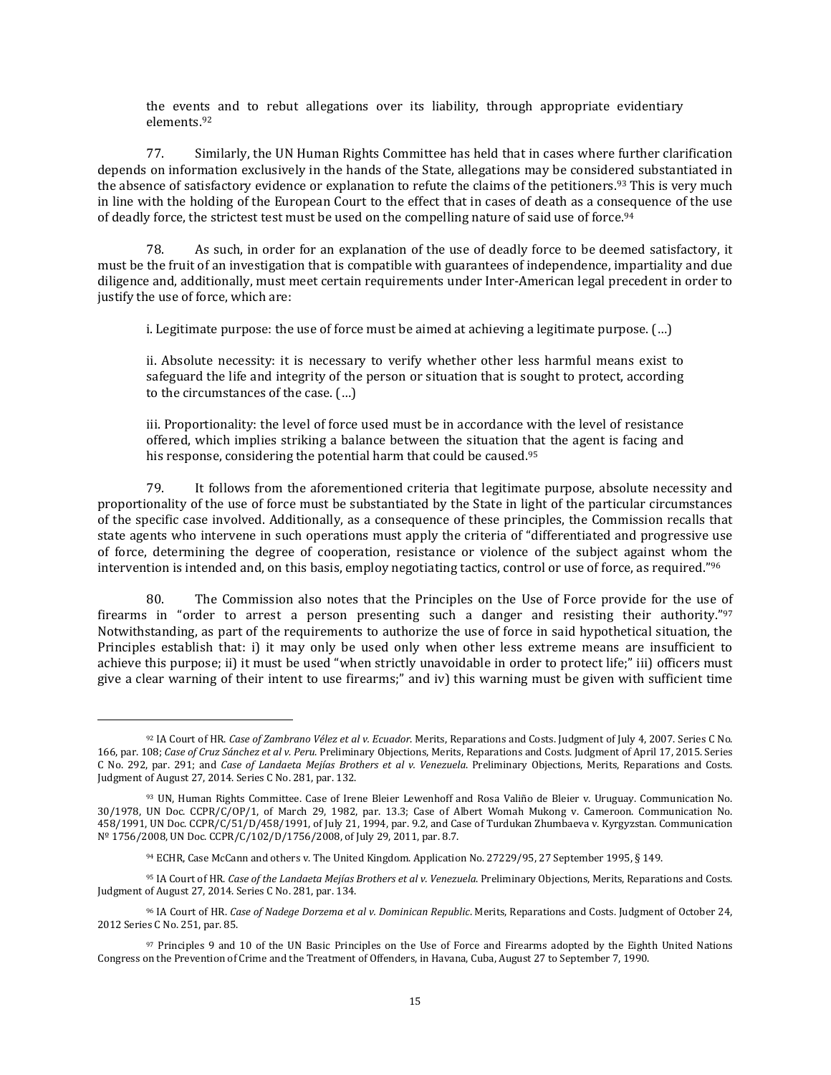the events and to rebut allegations over its liability, through appropriate evidentiary elements.<sup>92</sup>

77. Similarly, the UN Human Rights Committee has held that in cases where further clarification depends on information exclusively in the hands of the State, allegations may be considered substantiated in the absence of satisfactory evidence or explanation to refute the claims of the petitioners.<sup>93</sup> This is very much in line with the holding of the European Court to the effect that in cases of death as a consequence of the use of deadly force, the strictest test must be used on the compelling nature of said use of force.<sup>94</sup>

78. As such, in order for an explanation of the use of deadly force to be deemed satisfactory, it must be the fruit of an investigation that is compatible with guarantees of independence, impartiality and due diligence and, additionally, must meet certain requirements under Inter-American legal precedent in order to justify the use of force, which are:

i. Legitimate purpose: the use of force must be aimed at achieving a legitimate purpose. (…)

ii. Absolute necessity: it is necessary to verify whether other less harmful means exist to safeguard the life and integrity of the person or situation that is sought to protect, according to the circumstances of the case. (…)

iii. Proportionality: the level of force used must be in accordance with the level of resistance offered, which implies striking a balance between the situation that the agent is facing and his response, considering the potential harm that could be caused.<sup>95</sup>

79. It follows from the aforementioned criteria that legitimate purpose, absolute necessity and proportionality of the use of force must be substantiated by the State in light of the particular circumstances of the specific case involved. Additionally, as a consequence of these principles, the Commission recalls that state agents who intervene in such operations must apply the criteria of "differentiated and progressive use of force, determining the degree of cooperation, resistance or violence of the subject against whom the intervention is intended and, on this basis, employ negotiating tactics, control or use of force, as required." $^{96}$ 

80. The Commission also notes that the Principles on the Use of Force provide for the use of firearms in "order to arrest a person presenting such a danger and resisting their authority."<sup>97</sup> Notwithstanding, as part of the requirements to authorize the use of force in said hypothetical situation, the Principles establish that: i) it may only be used only when other less extreme means are insufficient to achieve this purpose; ii) it must be used "when strictly unavoidable in order to protect life;" iii) officers must give a clear warning of their intent to use firearms;" and iv) this warning must be given with sufficient time

<sup>92</sup> IA Court of HR. *Case of Zambrano Vélez et al v. Ecuador*. Merits, Reparations and Costs. Judgment of July 4, 2007. Series C No. 166, par. 108; *Case of Cruz Sánchez et al v. Peru*. Preliminary Objections, Merits, Reparations and Costs. Judgment of April 17, 2015. Series C No. 292, par. 291; and *Case of Landaeta Mejías Brothers et al v. Venezuela*. Preliminary Objections, Merits, Reparations and Costs. Judgment of August 27, 2014. Series C No. 281, par. 132.

<sup>93</sup> UN, Human Rights Committee. Case of Irene Bleier Lewenhoff and Rosa Valiño de Bleier v. Uruguay. Communication No. 30/1978, UN Doc. CCPR/C/OP/1, of March 29, 1982, par. 13.3; Case of Albert Womah Mukong v. Cameroon. Communication No. 458/1991, UN Doc. CCPR/C/51/D/458/1991, of July 21, 1994, par. 9.2, and Case of Turdukan Zhumbaeva v. Kyrgyzstan. Communication Nº 1756/2008, UN Doc. CCPR/C/102/D/1756/2008, of July 29, 2011, par. 8.7.

<sup>94</sup> ECHR, Case McCann and others v. The United Kingdom. Application No. 27229/95, 27 September 1995, § 149.

<sup>95</sup> IA Court of HR. *Case of the Landaeta Mejías Brothers et al v. Venezuela*. Preliminary Objections, Merits, Reparations and Costs. Judgment of August 27, 2014. Series C No. 281, par. 134.

<sup>96</sup> IA Court of HR. *Case of Nadege Dorzema et al v. Dominican Republic*. Merits, Reparations and Costs. Judgment of October 24, 2012 Series C No. 251, par. 85.

<sup>97</sup> Principles 9 and 10 of the UN Basic Principles on the Use of Force and Firearms adopted by the Eighth United Nations Congress on the Prevention of Crime and the Treatment of Offenders, in Havana, Cuba, August 27 to September 7, 1990.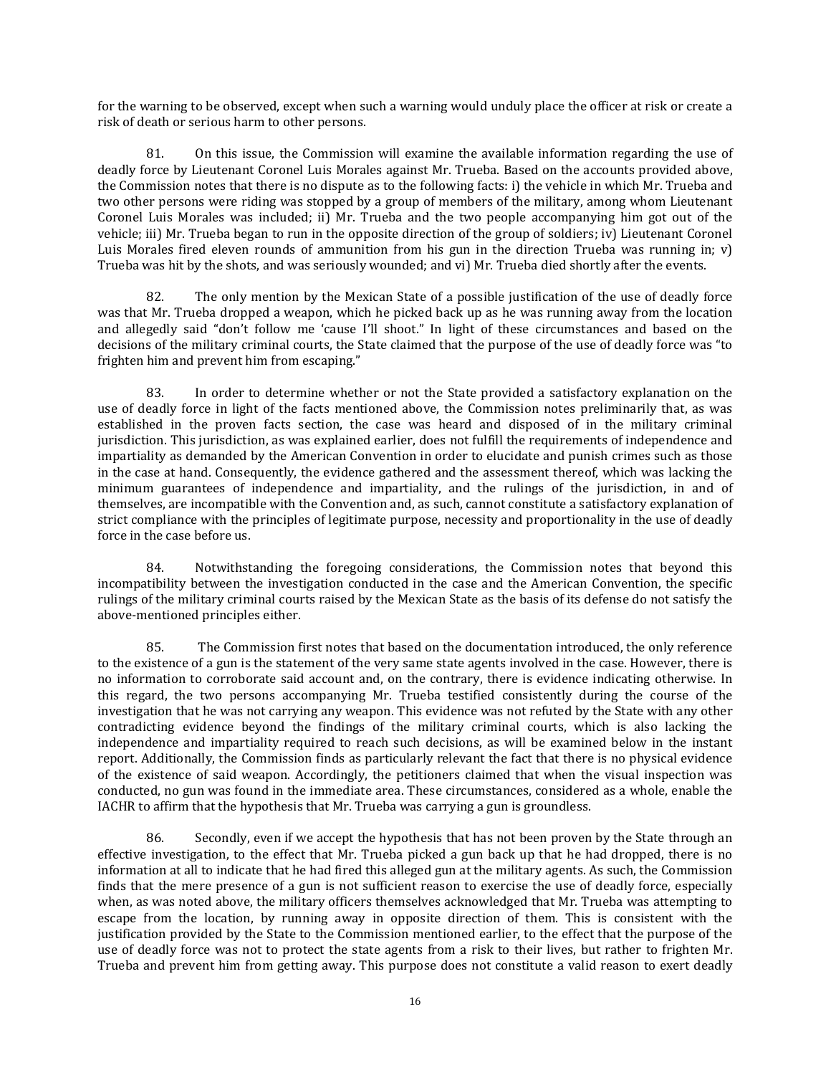for the warning to be observed, except when such a warning would unduly place the officer at risk or create a risk of death or serious harm to other persons.

81. On this issue, the Commission will examine the available information regarding the use of deadly force by Lieutenant Coronel Luis Morales against Mr. Trueba. Based on the accounts provided above, the Commission notes that there is no dispute as to the following facts: i) the vehicle in which Mr. Trueba and two other persons were riding was stopped by a group of members of the military, among whom Lieutenant Coronel Luis Morales was included; ii) Mr. Trueba and the two people accompanying him got out of the vehicle; iii) Mr. Trueba began to run in the opposite direction of the group of soldiers; iv) Lieutenant Coronel Luis Morales fired eleven rounds of ammunition from his gun in the direction Trueba was running in; v) Trueba was hit by the shots, and was seriously wounded; and vi) Mr. Trueba died shortly after the events.

82. The only mention by the Mexican State of a possible justification of the use of deadly force was that Mr. Trueba dropped a weapon, which he picked back up as he was running away from the location and allegedly said "don't follow me 'cause I'll shoot." In light of these circumstances and based on the decisions of the military criminal courts, the State claimed that the purpose of the use of deadly force was "to frighten him and prevent him from escaping."

83. In order to determine whether or not the State provided a satisfactory explanation on the use of deadly force in light of the facts mentioned above, the Commission notes preliminarily that, as was established in the proven facts section, the case was heard and disposed of in the military criminal jurisdiction. This jurisdiction, as was explained earlier, does not fulfill the requirements of independence and impartiality as demanded by the American Convention in order to elucidate and punish crimes such as those in the case at hand. Consequently, the evidence gathered and the assessment thereof, which was lacking the minimum guarantees of independence and impartiality, and the rulings of the jurisdiction, in and of themselves, are incompatible with the Convention and, as such, cannot constitute a satisfactory explanation of strict compliance with the principles of legitimate purpose, necessity and proportionality in the use of deadly force in the case before us.

84. Notwithstanding the foregoing considerations, the Commission notes that beyond this incompatibility between the investigation conducted in the case and the American Convention, the specific rulings of the military criminal courts raised by the Mexican State as the basis of its defense do not satisfy the above-mentioned principles either.

85. The Commission first notes that based on the documentation introduced, the only reference to the existence of a gun is the statement of the very same state agents involved in the case. However, there is no information to corroborate said account and, on the contrary, there is evidence indicating otherwise. In this regard, the two persons accompanying Mr. Trueba testified consistently during the course of the investigation that he was not carrying any weapon. This evidence was not refuted by the State with any other contradicting evidence beyond the findings of the military criminal courts, which is also lacking the independence and impartiality required to reach such decisions, as will be examined below in the instant report. Additionally, the Commission finds as particularly relevant the fact that there is no physical evidence of the existence of said weapon. Accordingly, the petitioners claimed that when the visual inspection was conducted, no gun was found in the immediate area. These circumstances, considered as a whole, enable the IACHR to affirm that the hypothesis that Mr. Trueba was carrying a gun is groundless.

86. Secondly, even if we accept the hypothesis that has not been proven by the State through an effective investigation, to the effect that Mr. Trueba picked a gun back up that he had dropped, there is no information at all to indicate that he had fired this alleged gun at the military agents. As such, the Commission finds that the mere presence of a gun is not sufficient reason to exercise the use of deadly force, especially when, as was noted above, the military officers themselves acknowledged that Mr. Trueba was attempting to escape from the location, by running away in opposite direction of them. This is consistent with the justification provided by the State to the Commission mentioned earlier, to the effect that the purpose of the use of deadly force was not to protect the state agents from a risk to their lives, but rather to frighten Mr. Trueba and prevent him from getting away. This purpose does not constitute a valid reason to exert deadly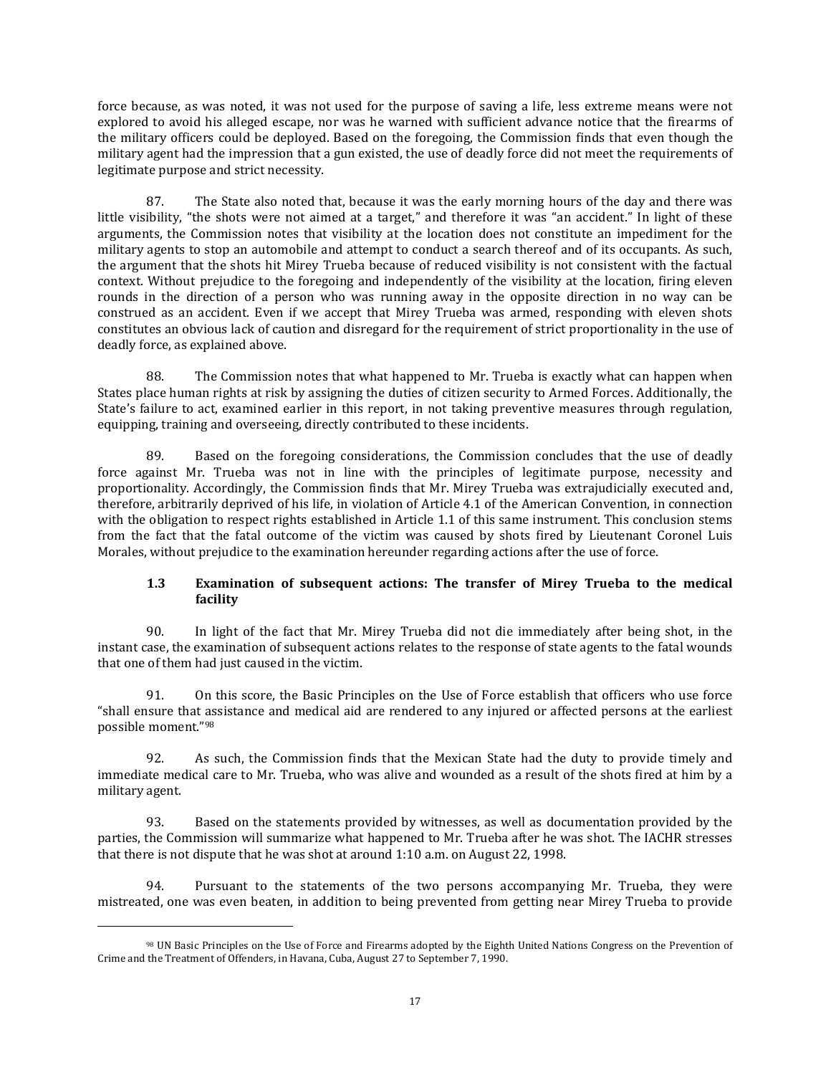force because, as was noted, it was not used for the purpose of saving a life, less extreme means were not explored to avoid his alleged escape, nor was he warned with sufficient advance notice that the firearms of the military officers could be deployed. Based on the foregoing, the Commission finds that even though the military agent had the impression that a gun existed, the use of deadly force did not meet the requirements of legitimate purpose and strict necessity.

87. The State also noted that, because it was the early morning hours of the day and there was little visibility, "the shots were not aimed at a target," and therefore it was "an accident." In light of these arguments, the Commission notes that visibility at the location does not constitute an impediment for the military agents to stop an automobile and attempt to conduct a search thereof and of its occupants. As such, the argument that the shots hit Mirey Trueba because of reduced visibility is not consistent with the factual context. Without prejudice to the foregoing and independently of the visibility at the location, firing eleven rounds in the direction of a person who was running away in the opposite direction in no way can be construed as an accident. Even if we accept that Mirey Trueba was armed, responding with eleven shots constitutes an obvious lack of caution and disregard for the requirement of strict proportionality in the use of deadly force, as explained above.

88. The Commission notes that what happened to Mr. Trueba is exactly what can happen when States place human rights at risk by assigning the duties of citizen security to Armed Forces. Additionally, the State's failure to act, examined earlier in this report, in not taking preventive measures through regulation, equipping, training and overseeing, directly contributed to these incidents.

89. Based on the foregoing considerations, the Commission concludes that the use of deadly force against Mr. Trueba was not in line with the principles of legitimate purpose, necessity and proportionality. Accordingly, the Commission finds that Mr. Mirey Trueba was extrajudicially executed and, therefore, arbitrarily deprived of his life, in violation of Article 4.1 of the American Convention, in connection with the obligation to respect rights established in Article 1.1 of this same instrument. This conclusion stems from the fact that the fatal outcome of the victim was caused by shots fired by Lieutenant Coronel Luis Morales, without prejudice to the examination hereunder regarding actions after the use of force.

# **1.3 Examination of subsequent actions: The transfer of Mirey Trueba to the medical facility**

90. In light of the fact that Mr. Mirey Trueba did not die immediately after being shot, in the instant case, the examination of subsequent actions relates to the response of state agents to the fatal wounds that one of them had just caused in the victim.

91. On this score, the Basic Principles on the Use of Force establish that officers who use force "shall ensure that assistance and medical aid are rendered to any injured or affected persons at the earliest possible moment."<sup>98</sup>

92. As such, the Commission finds that the Mexican State had the duty to provide timely and immediate medical care to Mr. Trueba, who was alive and wounded as a result of the shots fired at him by a military agent.

93. Based on the statements provided by witnesses, as well as documentation provided by the parties, the Commission will summarize what happened to Mr. Trueba after he was shot. The IACHR stresses that there is not dispute that he was shot at around 1:10 a.m. on August 22, 1998.

94. Pursuant to the statements of the two persons accompanying Mr. Trueba, they were mistreated, one was even beaten, in addition to being prevented from getting near Mirey Trueba to provide

<sup>98</sup> UN Basic Principles on the Use of Force and Firearms adopted by the Eighth United Nations Congress on the Prevention of Crime and the Treatment of Offenders, in Havana, Cuba, August 27 to September 7, 1990.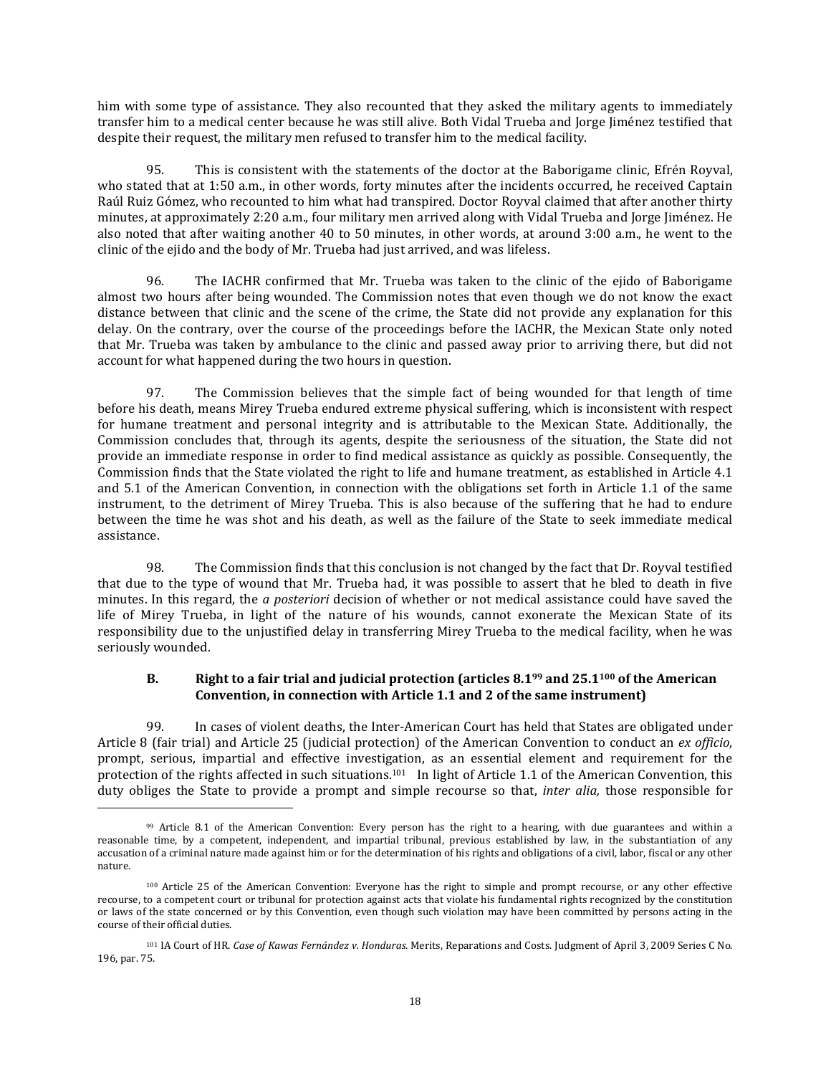him with some type of assistance. They also recounted that they asked the military agents to immediately transfer him to a medical center because he was still alive. Both Vidal Trueba and Jorge Jiménez testified that despite their request, the military men refused to transfer him to the medical facility.

95. This is consistent with the statements of the doctor at the Baborigame clinic, Efrén Royval, who stated that at 1:50 a.m., in other words, forty minutes after the incidents occurred, he received Captain Raúl Ruiz Gómez, who recounted to him what had transpired. Doctor Royval claimed that after another thirty minutes, at approximately 2:20 a.m., four military men arrived along with Vidal Trueba and Jorge Jiménez. He also noted that after waiting another 40 to 50 minutes, in other words, at around 3:00 a.m., he went to the clinic of the ejido and the body of Mr. Trueba had just arrived, and was lifeless.

96. The IACHR confirmed that Mr. Trueba was taken to the clinic of the ejido of Baborigame almost two hours after being wounded. The Commission notes that even though we do not know the exact distance between that clinic and the scene of the crime, the State did not provide any explanation for this delay. On the contrary, over the course of the proceedings before the IACHR, the Mexican State only noted that Mr. Trueba was taken by ambulance to the clinic and passed away prior to arriving there, but did not account for what happened during the two hours in question.

97. The Commission believes that the simple fact of being wounded for that length of time before his death, means Mirey Trueba endured extreme physical suffering, which is inconsistent with respect for humane treatment and personal integrity and is attributable to the Mexican State. Additionally, the Commission concludes that, through its agents, despite the seriousness of the situation, the State did not provide an immediate response in order to find medical assistance as quickly as possible. Consequently, the Commission finds that the State violated the right to life and humane treatment, as established in Article 4.1 and 5.1 of the American Convention, in connection with the obligations set forth in Article 1.1 of the same instrument, to the detriment of Mirey Trueba. This is also because of the suffering that he had to endure between the time he was shot and his death, as well as the failure of the State to seek immediate medical assistance.

98. The Commission finds that this conclusion is not changed by the fact that Dr. Royval testified that due to the type of wound that Mr. Trueba had, it was possible to assert that he bled to death in five minutes. In this regard, the *a posteriori* decision of whether or not medical assistance could have saved the life of Mirey Trueba, in light of the nature of his wounds, cannot exonerate the Mexican State of its responsibility due to the unjustified delay in transferring Mirey Trueba to the medical facility, when he was seriously wounded.

# **B. Right to a fair trial and judicial protection (articles 8.1<sup>99</sup> and 25.1<sup>100</sup> of the American Convention, in connection with Article 1.1 and 2 of the same instrument)**

99. In cases of violent deaths, the Inter-American Court has held that States are obligated under Article 8 (fair trial) and Article 25 (judicial protection) of the American Convention to conduct an *ex officio*, prompt, serious, impartial and effective investigation, as an essential element and requirement for the protection of the rights affected in such situations.<sup>101</sup> In light of Article 1.1 of the American Convention, this duty obliges the State to provide a prompt and simple recourse so that, *inter alia,* those responsible for

<sup>99</sup> Article 8.1 of the American Convention: Every person has the right to a hearing, with due guarantees and within a reasonable time, by a competent, independent, and impartial tribunal, previous established by law, in the substantiation of any accusation of a criminal nature made against him or for the determination of his rights and obligations of a civil, labor, fiscal or any other nature.

<sup>100</sup> Article 25 of the American Convention: Everyone has the right to simple and prompt recourse, or any other effective recourse, to a competent court or tribunal for protection against acts that violate his fundamental rights recognized by the constitution or laws of the state concerned or by this Convention, even though such violation may have been committed by persons acting in the course of their official duties.

<sup>101</sup> IA Court of HR. *Case of Kawas Fernández v. Honduras*. Merits, Reparations and Costs. Judgment of April 3, 2009 Series C No. 196, par. 75.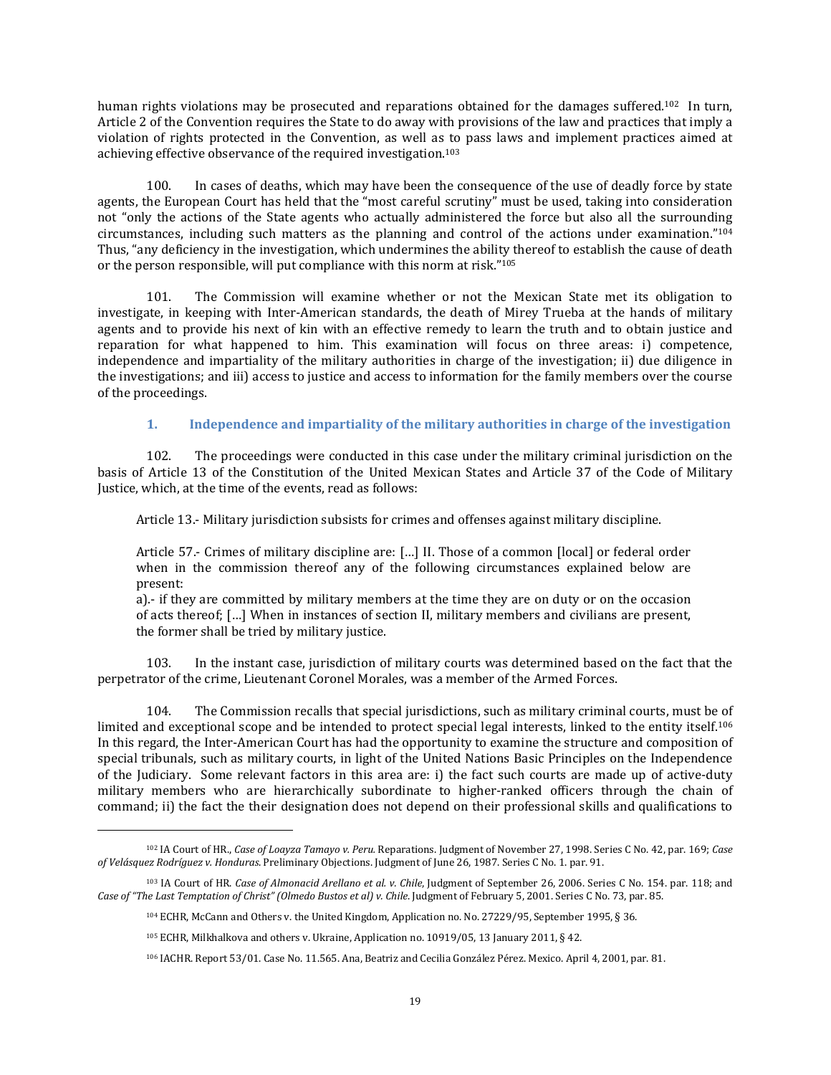human rights violations may be prosecuted and reparations obtained for the damages suffered.<sup>102</sup> In turn, Article 2 of the Convention requires the State to do away with provisions of the law and practices that imply a violation of rights protected in the Convention, as well as to pass laws and implement practices aimed at achieving effective observance of the required investigation.<sup>103</sup>

100. In cases of deaths, which may have been the consequence of the use of deadly force by state agents, the European Court has held that the "most careful scrutiny" must be used, taking into consideration not "only the actions of the State agents who actually administered the force but also all the surrounding circumstances, including such matters as the planning and control of the actions under examination."<sup>104</sup> Thus, "any deficiency in the investigation, which undermines the ability thereof to establish the cause of death or the person responsible, will put compliance with this norm at risk." 105

101. The Commission will examine whether or not the Mexican State met its obligation to investigate, in keeping with Inter-American standards, the death of Mirey Trueba at the hands of military agents and to provide his next of kin with an effective remedy to learn the truth and to obtain justice and reparation for what happened to him. This examination will focus on three areas: i) competence, independence and impartiality of the military authorities in charge of the investigation; ii) due diligence in the investigations; and iii) access to justice and access to information for the family members over the course of the proceedings.

# **1. Independence and impartiality of the military authorities in charge of the investigation**

102. The proceedings were conducted in this case under the military criminal jurisdiction on the basis of Article 13 of the Constitution of the United Mexican States and Article 37 of the Code of Military Justice, which, at the time of the events, read as follows:

Article 13.- Military jurisdiction subsists for crimes and offenses against military discipline.

Article 57.- Crimes of military discipline are: […] II. Those of a common [local] or federal order when in the commission thereof any of the following circumstances explained below are present:

a).- if they are committed by military members at the time they are on duty or on the occasion of acts thereof; […] When in instances of section II, military members and civilians are present, the former shall be tried by military justice.

103. In the instant case, jurisdiction of military courts was determined based on the fact that the perpetrator of the crime, Lieutenant Coronel Morales, was a member of the Armed Forces.

104. The Commission recalls that special jurisdictions, such as military criminal courts, must be of limited and exceptional scope and be intended to protect special legal interests, linked to the entity itself.<sup>106</sup> In this regard, the Inter-American Court has had the opportunity to examine the structure and composition of special tribunals, such as military courts, in light of the United Nations Basic Principles on the Independence of the Judiciary. Some relevant factors in this area are: i) the fact such courts are made up of active-duty military members who are hierarchically subordinate to higher-ranked officers through the chain of command; ii) the fact the their designation does not depend on their professional skills and qualifications to

 $\overline{a}$ 

<sup>102</sup> IA Court of HR., *Case of Loayza Tamayo v. Peru.* Reparations. Judgment of November 27, 1998. Series C No. 42, par. 169; *Case of Velásquez Rodríguez v. Honduras*. Preliminary Objections. Judgment of June 26, 1987. Series C No. 1. par. 91.

<sup>103</sup> IA Court of HR. *Case of Almonacid Arellano et al. v. Chile*, Judgment of September 26, 2006. Series C No. 154. par. 118; and *Case of "The Last Temptation of Christ" (Olmedo Bustos et al) v. Chile*. Judgment of February 5, 2001. Series C No. 73, par. 85.

<sup>104</sup> ECHR, McCann and Others v. the United Kingdom, Application no. No. 27229/95, September 1995, § 36.

 $105$  ECHR, Milkhalkova and others v. Ukraine, Application no. 10919/05, 13 January 2011, § 42.

<sup>106</sup> IACHR. Report 53/01. Case No. 11.565. Ana, Beatriz and Cecilia González Pérez. Mexico. April 4, 2001, par. 81.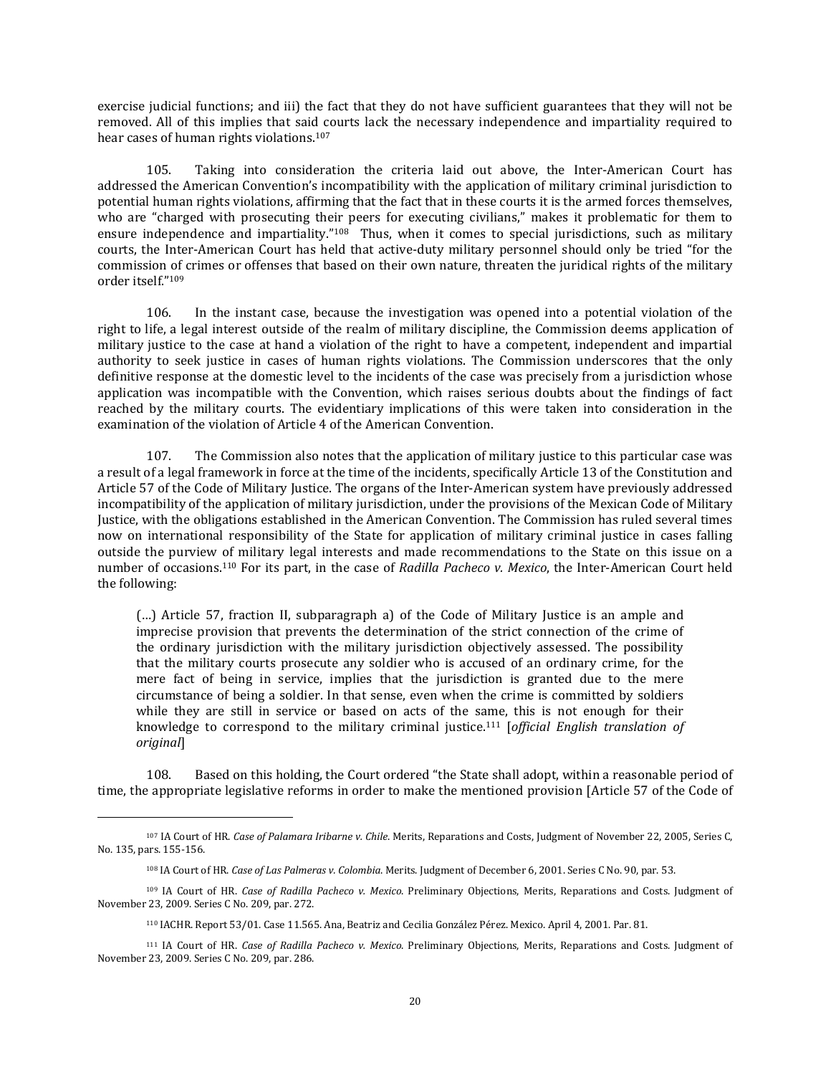exercise judicial functions; and iii) the fact that they do not have sufficient guarantees that they will not be removed. All of this implies that said courts lack the necessary independence and impartiality required to hear cases of human rights violations.<sup>107</sup>

105. Taking into consideration the criteria laid out above, the Inter-American Court has addressed the American Convention's incompatibility with the application of military criminal jurisdiction to potential human rights violations, affirming that the fact that in these courts it is the armed forces themselves, who are "charged with prosecuting their peers for executing civilians," makes it problematic for them to ensure independence and impartiality."<sup>108</sup> Thus, when it comes to special jurisdictions, such as military courts, the Inter-American Court has held that active-duty military personnel should only be tried "for the commission of crimes or offenses that based on their own nature, threaten the juridical rights of the military order itself."<sup>109</sup>

106. In the instant case, because the investigation was opened into a potential violation of the right to life, a legal interest outside of the realm of military discipline, the Commission deems application of military justice to the case at hand a violation of the right to have a competent, independent and impartial authority to seek justice in cases of human rights violations. The Commission underscores that the only definitive response at the domestic level to the incidents of the case was precisely from a jurisdiction whose application was incompatible with the Convention, which raises serious doubts about the findings of fact reached by the military courts. The evidentiary implications of this were taken into consideration in the examination of the violation of Article 4 of the American Convention.

107. The Commission also notes that the application of military justice to this particular case was a result of a legal framework in force at the time of the incidents, specifically Article 13 of the Constitution and Article 57 of the Code of Military Justice. The organs of the Inter-American system have previously addressed incompatibility of the application of military jurisdiction, under the provisions of the Mexican Code of Military Justice, with the obligations established in the American Convention. The Commission has ruled several times now on international responsibility of the State for application of military criminal justice in cases falling outside the purview of military legal interests and made recommendations to the State on this issue on a number of occasions.<sup>110</sup> For its part, in the case of *Radilla Pacheco v. Mexico*, the Inter-American Court held the following:

(…) Article 57, fraction II, subparagraph a) of the Code of Military Justice is an ample and imprecise provision that prevents the determination of the strict connection of the crime of the ordinary jurisdiction with the military jurisdiction objectively assessed. The possibility that the military courts prosecute any soldier who is accused of an ordinary crime, for the mere fact of being in service, implies that the jurisdiction is granted due to the mere circumstance of being a soldier. In that sense, even when the crime is committed by soldiers while they are still in service or based on acts of the same, this is not enough for their knowledge to correspond to the military criminal justice.<sup>111</sup> [*official English translation of original*]

108. Based on this holding, the Court ordered "the State shall adopt, within a reasonable period of time, the appropriate legislative reforms in order to make the mentioned provision [Article 57 of the Code of

<sup>107</sup> IA Court of HR. *Case of Palamara Iribarne v. Chile*. Merits, Reparations and Costs, Judgment of November 22, 2005, Series C, No. 135, pars. 155-156.

<sup>108</sup> IA Court of HR. *Case of Las Palmeras v. Colombia*. Merits. Judgment of December 6, 2001. Series C No. 90, par. 53.

<sup>109</sup> IA Court of HR. *Case of Radilla Pacheco v. Mexico*. Preliminary Objections, Merits, Reparations and Costs. Judgment of November 23, 2009. Series C No. 209, par. 272.

<sup>110</sup> IACHR. Report 53/01. Case 11.565. Ana, Beatriz and Cecilia González Pérez. Mexico. April 4, 2001. Par. 81.

<sup>111</sup> IA Court of HR. *Case of Radilla Pacheco v. Mexico*. Preliminary Objections, Merits, Reparations and Costs. Judgment of November 23, 2009. Series C No. 209, par. 286.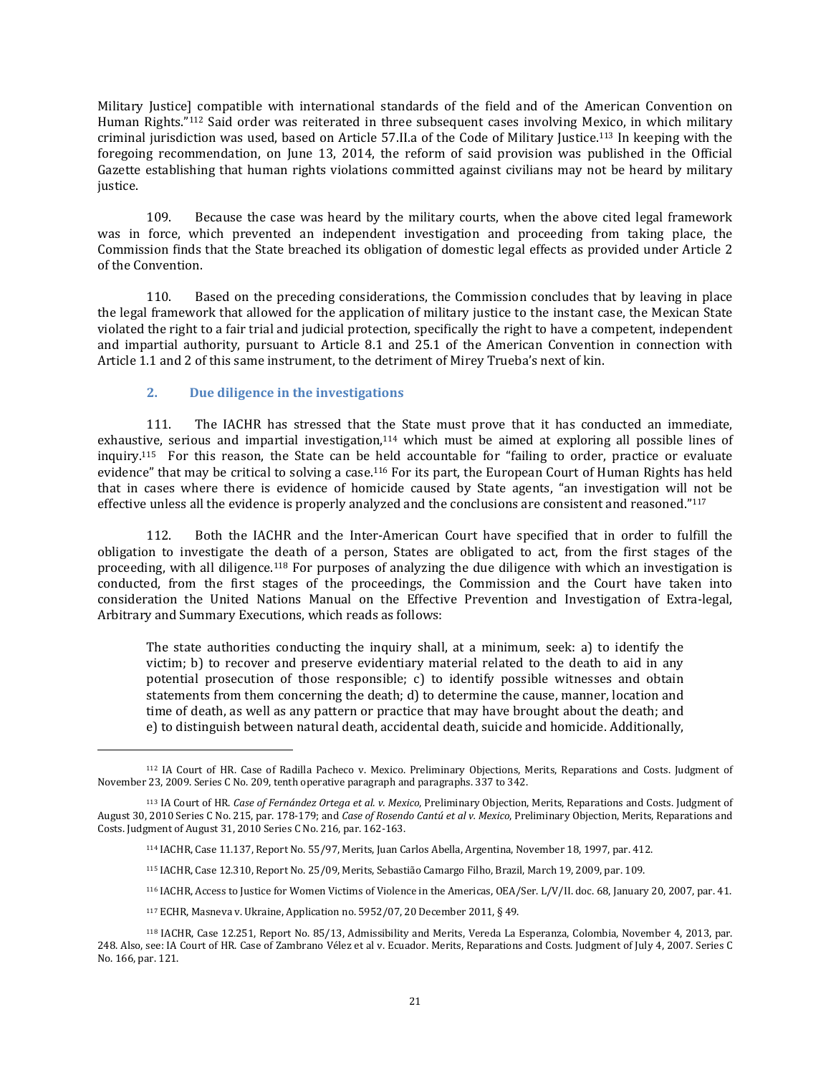Military Justice] compatible with international standards of the field and of the American Convention on Human Rights."<sup>112</sup> Said order was reiterated in three subsequent cases involving Mexico, in which military criminal jurisdiction was used, based on Article 57.II.a of the Code of Military Justice.<sup>113</sup> In keeping with the foregoing recommendation, on June 13, 2014, the reform of said provision was published in the Official Gazette establishing that human rights violations committed against civilians may not be heard by military justice.

109. Because the case was heard by the military courts, when the above cited legal framework was in force, which prevented an independent investigation and proceeding from taking place, the Commission finds that the State breached its obligation of domestic legal effects as provided under Article 2 of the Convention.

110. Based on the preceding considerations, the Commission concludes that by leaving in place the legal framework that allowed for the application of military justice to the instant case, the Mexican State violated the right to a fair trial and judicial protection, specifically the right to have a competent, independent and impartial authority, pursuant to Article 8.1 and 25.1 of the American Convention in connection with Article 1.1 and 2 of this same instrument, to the detriment of Mirey Trueba's next of kin.

# **2. Due diligence in the investigations**

 $\overline{\phantom{a}}$ 

111. The IACHR has stressed that the State must prove that it has conducted an immediate, exhaustive, serious and impartial investigation,<sup>114</sup> which must be aimed at exploring all possible lines of inquiry.<sup>115</sup> For this reason, the State can be held accountable for "failing to order, practice or evaluate evidence" that may be critical to solving a case.<sup>116</sup> For its part, the European Court of Human Rights has held that in cases where there is evidence of homicide caused by State agents, "an investigation will not be effective unless all the evidence is properly analyzed and the conclusions are consistent and reasoned."<sup>117</sup>

112. Both the IACHR and the Inter-American Court have specified that in order to fulfill the obligation to investigate the death of a person, States are obligated to act, from the first stages of the proceeding, with all diligence.<sup>118</sup> For purposes of analyzing the due diligence with which an investigation is conducted, from the first stages of the proceedings, the Commission and the Court have taken into consideration the United Nations Manual on the Effective Prevention and Investigation of Extra-legal, Arbitrary and Summary Executions, which reads as follows:

The state authorities conducting the inquiry shall, at a minimum, seek: a) to identify the victim; b) to recover and preserve evidentiary material related to the death to aid in any potential prosecution of those responsible; c) to identify possible witnesses and obtain statements from them concerning the death; d) to determine the cause, manner, location and time of death, as well as any pattern or practice that may have brought about the death; and e) to distinguish between natural death, accidental death, suicide and homicide. Additionally,

<sup>117</sup> ECHR, Masneva v. Ukraine, Application no. 5952/07, 20 December 2011, § 49.

<sup>112</sup> IA Court of HR. Case of Radilla Pacheco v. Mexico. Preliminary Objections, Merits, Reparations and Costs. Judgment of November 23, 2009. Series C No. 209, tenth operative paragraph and paragraphs. 337 to 342.

<sup>113</sup> IA Court of HR. *Case of Fernández Ortega et al. v. Mexico*, Preliminary Objection, Merits, Reparations and Costs. Judgment of August 30, 2010 Series C No. 215, par. 178-179; and *Case of Rosendo Cantú et al v. Mexico*, Preliminary Objection, Merits, Reparations and Costs. Judgment of August 31, 2010 Series C No. 216, par. 162-163.

<sup>114</sup> IACHR, Case 11.137, Report No. 55/97, Merits, Juan Carlos Abella, Argentina, November 18, 1997, par. 412.

<sup>115</sup> IACHR, Case 12.310, Report No. 25/09, Merits, Sebastião Camargo Filho, Brazil, March 19, 2009, par. 109.

<sup>116</sup> IACHR, Access to Justice for Women Victims of Violence in the Americas, OEA/Ser. L/V/II. doc. 68, January 20, 2007, par. 41.

<sup>118</sup> IACHR, Case 12.251, Report No. 85/13, Admissibility and Merits, Vereda La Esperanza, Colombia, November 4, 2013, par. 248. Also, see: IA Court of HR. Case of Zambrano Vélez et al v. Ecuador. Merits, Reparations and Costs. Judgment of July 4, 2007. Series C No. 166, par. 121.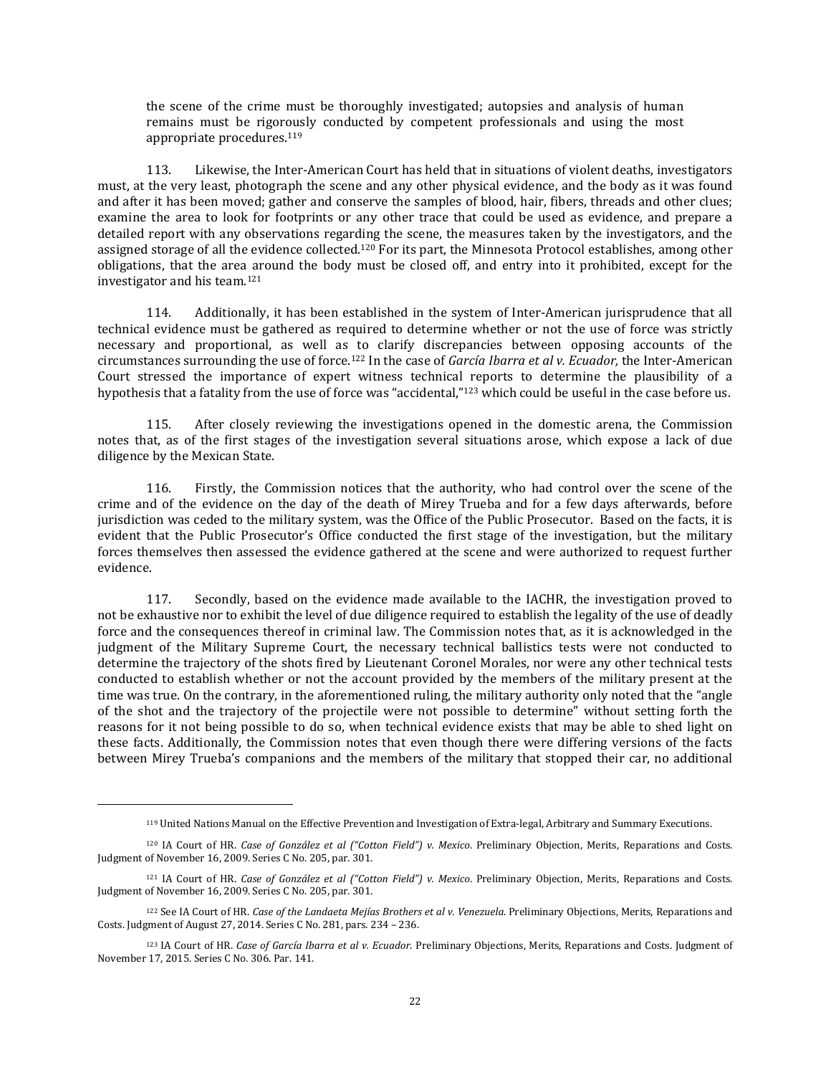the scene of the crime must be thoroughly investigated; autopsies and analysis of human remains must be rigorously conducted by competent professionals and using the most appropriate procedures.<sup>119</sup>

113. Likewise, the Inter-American Court has held that in situations of violent deaths, investigators must, at the very least, photograph the scene and any other physical evidence, and the body as it was found and after it has been moved; gather and conserve the samples of blood, hair, fibers, threads and other clues; examine the area to look for footprints or any other trace that could be used as evidence, and prepare a detailed report with any observations regarding the scene, the measures taken by the investigators, and the assigned storage of all the evidence collected.<sup>120</sup> For its part, the Minnesota Protocol establishes, among other obligations, that the area around the body must be closed off, and entry into it prohibited, except for the investigator and his team.<sup>121</sup>

114. Additionally, it has been established in the system of Inter-American jurisprudence that all technical evidence must be gathered as required to determine whether or not the use of force was strictly necessary and proportional, as well as to clarify discrepancies between opposing accounts of the circumstances surrounding the use of force.<sup>122</sup> In the case of *García Ibarra et al v. Ecuador,* the Inter-American Court stressed the importance of expert witness technical reports to determine the plausibility of a hypothesis that a fatality from the use of force was "accidental," <sup>123</sup> which could be useful in the case before us.

115. After closely reviewing the investigations opened in the domestic arena, the Commission notes that, as of the first stages of the investigation several situations arose, which expose a lack of due diligence by the Mexican State.

116. Firstly, the Commission notices that the authority, who had control over the scene of the crime and of the evidence on the day of the death of Mirey Trueba and for a few days afterwards, before jurisdiction was ceded to the military system, was the Office of the Public Prosecutor. Based on the facts, it is evident that the Public Prosecutor's Office conducted the first stage of the investigation, but the military forces themselves then assessed the evidence gathered at the scene and were authorized to request further evidence.

117. Secondly, based on the evidence made available to the IACHR, the investigation proved to not be exhaustive nor to exhibit the level of due diligence required to establish the legality of the use of deadly force and the consequences thereof in criminal law. The Commission notes that, as it is acknowledged in the judgment of the Military Supreme Court, the necessary technical ballistics tests were not conducted to determine the trajectory of the shots fired by Lieutenant Coronel Morales, nor were any other technical tests conducted to establish whether or not the account provided by the members of the military present at the time was true. On the contrary, in the aforementioned ruling, the military authority only noted that the "angle of the shot and the trajectory of the projectile were not possible to determine" without setting forth the reasons for it not being possible to do so, when technical evidence exists that may be able to shed light on these facts. Additionally, the Commission notes that even though there were differing versions of the facts between Mirey Trueba's companions and the members of the military that stopped their car, no additional

<sup>119</sup> United Nations Manual on the Effective Prevention and Investigation of Extra-legal, Arbitrary and Summary Executions.

<sup>120</sup> IA Court of HR. *Case of González et al ("Cotton Field") v. Mexico*. Preliminary Objection, Merits, Reparations and Costs. Judgment of November 16, 2009. Series C No. 205, par. 301.

<sup>121</sup> IA Court of HR. *Case of González et al ("Cotton Field") v. Mexico*. Preliminary Objection, Merits, Reparations and Costs. Judgment of November 16, 2009. Series C No. 205, par. 301.

<sup>122</sup> See IA Court of HR. *Case of the Landaeta Mejías Brothers et al v. Venezuela*. Preliminary Objections, Merits, Reparations and Costs. Judgment of August 27, 2014. Series C No. 281, pars. 234 – 236.

<sup>123</sup> IA Court of HR. *Case of García Ibarra et al v. Ecuador*. Preliminary Objections, Merits, Reparations and Costs. Judgment of November 17, 2015. Series C No. 306. Par. 141.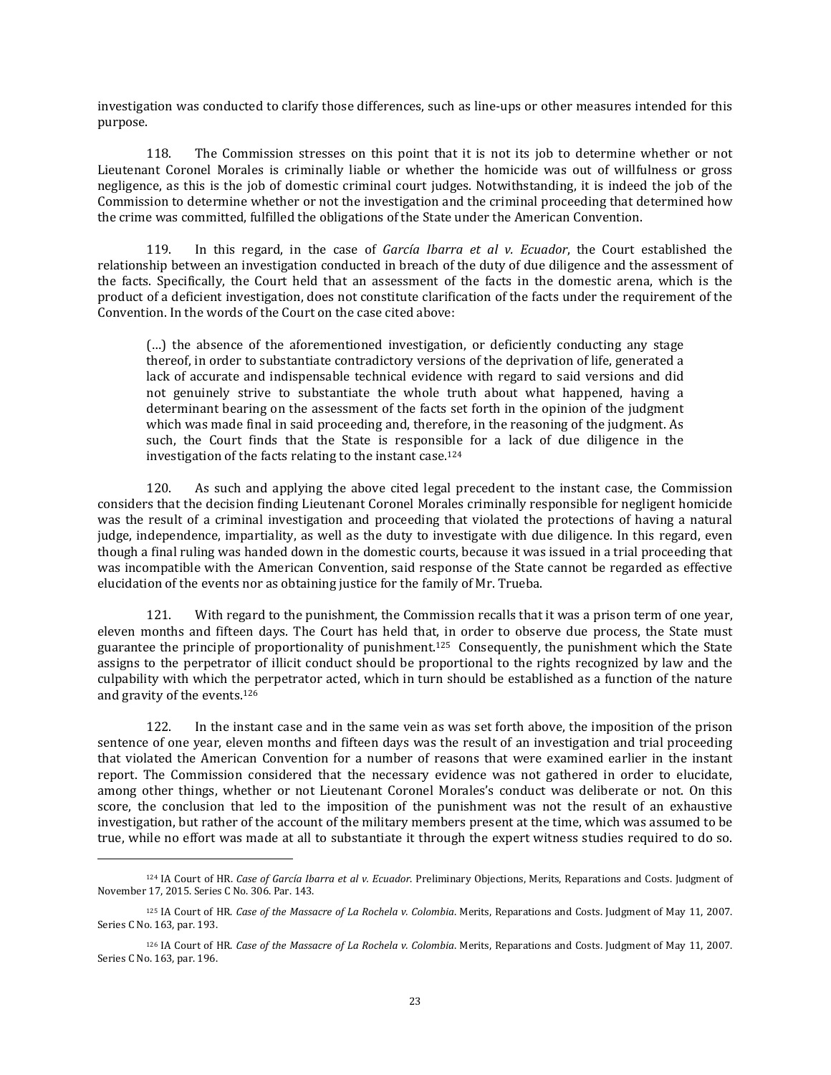investigation was conducted to clarify those differences, such as line-ups or other measures intended for this purpose.

118. The Commission stresses on this point that it is not its job to determine whether or not Lieutenant Coronel Morales is criminally liable or whether the homicide was out of willfulness or gross negligence, as this is the job of domestic criminal court judges. Notwithstanding, it is indeed the job of the Commission to determine whether or not the investigation and the criminal proceeding that determined how the crime was committed, fulfilled the obligations of the State under the American Convention.

119. In this regard, in the case of *García Ibarra et al v. Ecuador*, the Court established the relationship between an investigation conducted in breach of the duty of due diligence and the assessment of the facts. Specifically, the Court held that an assessment of the facts in the domestic arena, which is the product of a deficient investigation, does not constitute clarification of the facts under the requirement of the Convention. In the words of the Court on the case cited above:

(…) the absence of the aforementioned investigation, or deficiently conducting any stage thereof, in order to substantiate contradictory versions of the deprivation of life, generated a lack of accurate and indispensable technical evidence with regard to said versions and did not genuinely strive to substantiate the whole truth about what happened, having a determinant bearing on the assessment of the facts set forth in the opinion of the judgment which was made final in said proceeding and, therefore, in the reasoning of the judgment. As such, the Court finds that the State is responsible for a lack of due diligence in the investigation of the facts relating to the instant case.<sup>124</sup>

120. As such and applying the above cited legal precedent to the instant case, the Commission considers that the decision finding Lieutenant Coronel Morales criminally responsible for negligent homicide was the result of a criminal investigation and proceeding that violated the protections of having a natural judge, independence, impartiality, as well as the duty to investigate with due diligence. In this regard, even though a final ruling was handed down in the domestic courts, because it was issued in a trial proceeding that was incompatible with the American Convention, said response of the State cannot be regarded as effective elucidation of the events nor as obtaining justice for the family of Mr. Trueba.

121. With regard to the punishment, the Commission recalls that it was a prison term of one year, eleven months and fifteen days. The Court has held that, in order to observe due process, the State must guarantee the principle of proportionality of punishment.125 Consequently, the punishment which the State assigns to the perpetrator of illicit conduct should be proportional to the rights recognized by law and the culpability with which the perpetrator acted, which in turn should be established as a function of the nature and gravity of the events.<sup>126</sup>

122. In the instant case and in the same vein as was set forth above, the imposition of the prison sentence of one year, eleven months and fifteen days was the result of an investigation and trial proceeding that violated the American Convention for a number of reasons that were examined earlier in the instant report. The Commission considered that the necessary evidence was not gathered in order to elucidate, among other things, whether or not Lieutenant Coronel Morales's conduct was deliberate or not. On this score, the conclusion that led to the imposition of the punishment was not the result of an exhaustive investigation, but rather of the account of the military members present at the time, which was assumed to be true, while no effort was made at all to substantiate it through the expert witness studies required to do so.

 $\overline{a}$ 

<sup>124</sup> IA Court of HR. *Case of García Ibarra et al v. Ecuador*. Preliminary Objections, Merits, Reparations and Costs. Judgment of November 17, 2015. Series C No. 306. Par. 143.

<sup>125</sup> IA Court of HR. *Case of the Massacre of La Rochela v. Colombia*. Merits, Reparations and Costs. Judgment of May 11, 2007. Series C No. 163, par. 193.

<sup>126</sup> IA Court of HR. *Case of the Massacre of La Rochela v. Colombia*. Merits, Reparations and Costs. Judgment of May 11, 2007. Series C No. 163, par. 196.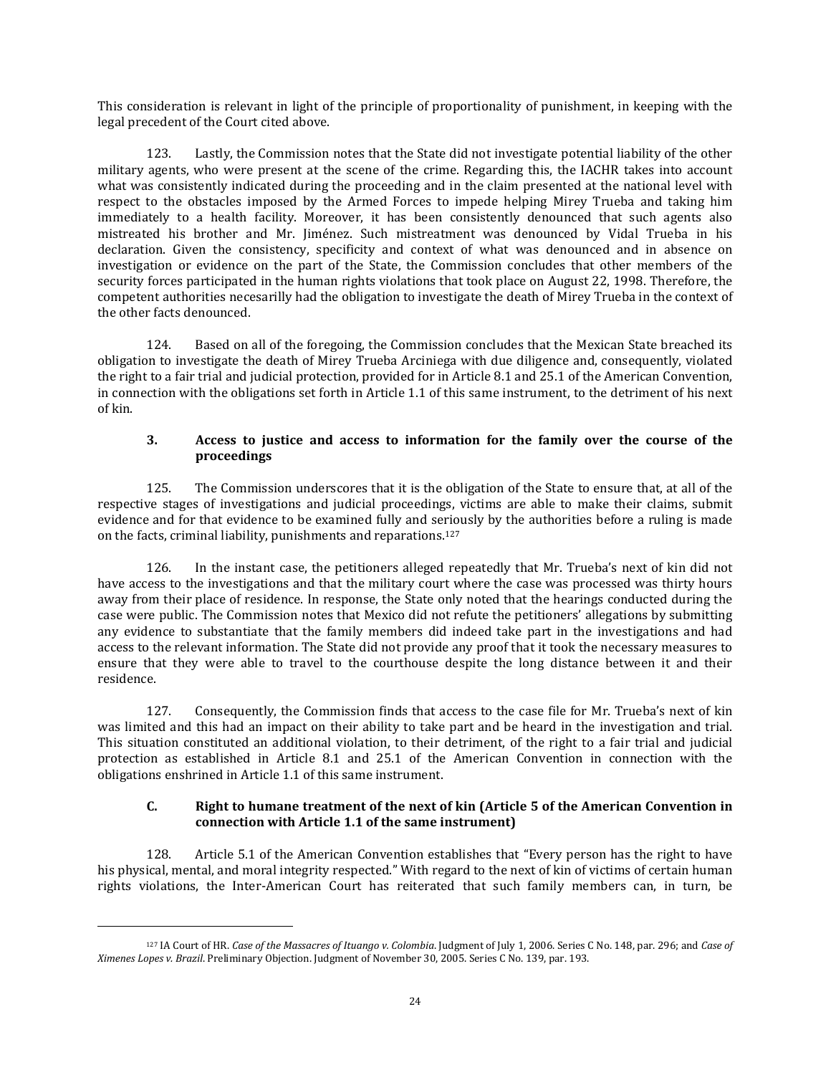This consideration is relevant in light of the principle of proportionality of punishment, in keeping with the legal precedent of the Court cited above.

123. Lastly, the Commission notes that the State did not investigate potential liability of the other military agents, who were present at the scene of the crime. Regarding this, the IACHR takes into account what was consistently indicated during the proceeding and in the claim presented at the national level with respect to the obstacles imposed by the Armed Forces to impede helping Mirey Trueba and taking him immediately to a health facility. Moreover, it has been consistently denounced that such agents also mistreated his brother and Mr. Jiménez. Such mistreatment was denounced by Vidal Trueba in his declaration. Given the consistency, specificity and context of what was denounced and in absence on investigation or evidence on the part of the State, the Commission concludes that other members of the security forces participated in the human rights violations that took place on August 22, 1998. Therefore, the competent authorities necesarilly had the obligation to investigate the death of Mirey Trueba in the context of the other facts denounced.

124. Based on all of the foregoing, the Commission concludes that the Mexican State breached its obligation to investigate the death of Mirey Trueba Arciniega with due diligence and, consequently, violated the right to a fair trial and judicial protection, provided for in Article 8.1 and 25.1 of the American Convention, in connection with the obligations set forth in Article 1.1 of this same instrument, to the detriment of his next of kin.

### **3. Access to justice and access to information for the family over the course of the proceedings**

125. The Commission underscores that it is the obligation of the State to ensure that, at all of the respective stages of investigations and judicial proceedings, victims are able to make their claims, submit evidence and for that evidence to be examined fully and seriously by the authorities before a ruling is made on the facts, criminal liability, punishments and reparations.<sup>127</sup>

126. In the instant case, the petitioners alleged repeatedly that Mr. Trueba's next of kin did not have access to the investigations and that the military court where the case was processed was thirty hours away from their place of residence. In response, the State only noted that the hearings conducted during the case were public. The Commission notes that Mexico did not refute the petitioners' allegations by submitting any evidence to substantiate that the family members did indeed take part in the investigations and had access to the relevant information. The State did not provide any proof that it took the necessary measures to ensure that they were able to travel to the courthouse despite the long distance between it and their residence.

127. Consequently, the Commission finds that access to the case file for Mr. Trueba's next of kin was limited and this had an impact on their ability to take part and be heard in the investigation and trial. This situation constituted an additional violation, to their detriment, of the right to a fair trial and judicial protection as established in Article 8.1 and 25.1 of the American Convention in connection with the obligations enshrined in Article 1.1 of this same instrument.

### **C. Right to humane treatment of the next of kin (Article 5 of the American Convention in connection with Article 1.1 of the same instrument)**

128. Article 5.1 of the American Convention establishes that "Every person has the right to have his physical, mental, and moral integrity respected." With regard to the next of kin of victims of certain human rights violations, the Inter-American Court has reiterated that such family members can, in turn, be

<sup>127</sup> IA Court of HR. *Case of the Massacres of Ituango v. Colombia*. Judgment of July 1, 2006. Series C No. 148, par. 296; and *Case of Ximenes Lopes v. Brazil*. Preliminary Objection. Judgment of November 30, 2005. Series C No. 139, par. 193.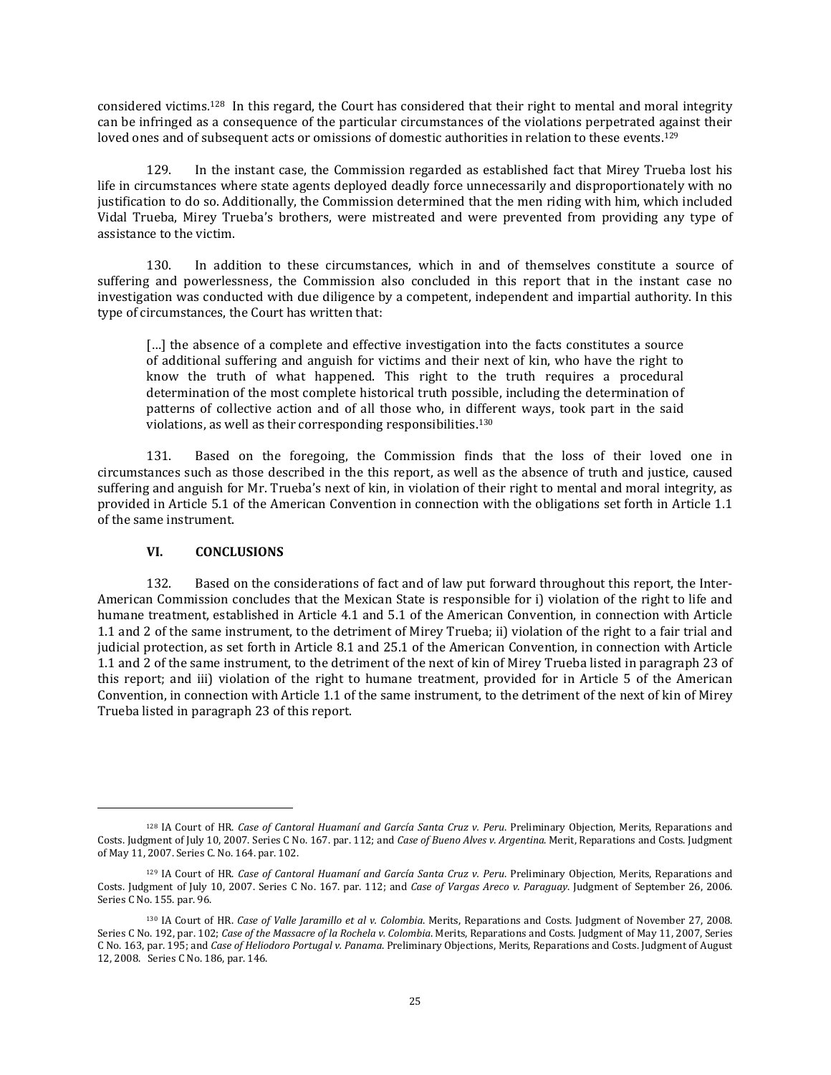considered victims.<sup>128</sup> In this regard, the Court has considered that their right to mental and moral integrity can be infringed as a consequence of the particular circumstances of the violations perpetrated against their loved ones and of subsequent acts or omissions of domestic authorities in relation to these events.<sup>129</sup>

129. In the instant case, the Commission regarded as established fact that Mirey Trueba lost his life in circumstances where state agents deployed deadly force unnecessarily and disproportionately with no justification to do so. Additionally, the Commission determined that the men riding with him, which included Vidal Trueba, Mirey Trueba's brothers, were mistreated and were prevented from providing any type of assistance to the victim.

130. In addition to these circumstances, which in and of themselves constitute a source of suffering and powerlessness, the Commission also concluded in this report that in the instant case no investigation was conducted with due diligence by a competent, independent and impartial authority. In this type of circumstances, the Court has written that:

[...] the absence of a complete and effective investigation into the facts constitutes a source of additional suffering and anguish for victims and their next of kin, who have the right to know the truth of what happened. This right to the truth requires a procedural determination of the most complete historical truth possible, including the determination of patterns of collective action and of all those who, in different ways, took part in the said violations, as well as their corresponding responsibilities.<sup>130</sup>

131. Based on the foregoing, the Commission finds that the loss of their loved one in circumstances such as those described in the this report, as well as the absence of truth and justice, caused suffering and anguish for Mr. Trueba's next of kin, in violation of their right to mental and moral integrity, as provided in Article 5.1 of the American Convention in connection with the obligations set forth in Article 1.1 of the same instrument.

### **VI. CONCLUSIONS**

 $\overline{\phantom{a}}$ 

132. Based on the considerations of fact and of law put forward throughout this report, the Inter-American Commission concludes that the Mexican State is responsible for i) violation of the right to life and humane treatment, established in Article 4.1 and 5.1 of the American Convention, in connection with Article 1.1 and 2 of the same instrument, to the detriment of Mirey Trueba; ii) violation of the right to a fair trial and judicial protection, as set forth in Article 8.1 and 25.1 of the American Convention, in connection with Article 1.1 and 2 of the same instrument, to the detriment of the next of kin of Mirey Trueba listed in paragraph 23 of this report; and iii) violation of the right to humane treatment, provided for in Article 5 of the American Convention, in connection with Article 1.1 of the same instrument, to the detriment of the next of kin of Mirey Trueba listed in paragraph 23 of this report.

<sup>128</sup> IA Court of HR. *Case of Cantoral Huamaní and García Santa Cruz v. Peru*. Preliminary Objection, Merits, Reparations and Costs. Judgment of July 10, 2007. Series C No. 167. par. 112; and *Case of Bueno Alves v. Argentina*. Merit, Reparations and Costs. Judgment of May 11, 2007. Series C. No. 164. par. 102.

<sup>129</sup> IA Court of HR. *Case of Cantoral Huamaní and García Santa Cruz v. Peru*. Preliminary Objection, Merits, Reparations and Costs. Judgment of July 10, 2007. Series C No. 167. par. 112; and *Case of Vargas Areco v. Paraguay*. Judgment of September 26, 2006. Series C No. 155. par. 96.

<sup>130</sup> IA Court of HR. *Case of Valle Jaramillo et al v. Colombia*. Merits, Reparations and Costs. Judgment of November 27, 2008. Series C No. 192, par. 102; *Case of the Massacre of la Rochela v. Colombia*. Merits, Reparations and Costs. Judgment of May 11, 2007, Series C No. 163, par. 195; and *Case of Heliodoro Portugal v. Panama*. Preliminary Objections, Merits, Reparations and Costs. Judgment of August 12, 2008. [Series](http://joomla.corteidh.or.cr:8080/joomla/es/casos-contenciosos/38-jurisprudencia/772-corte-idh-caso-heliodoro-portugal-vs-panama-excepciones-preliminares-fondo-reparaciones-y-costas-sentencia-de-12-de-agosto-de-2008-serie-c-no-186) C No. 186, par. 146.